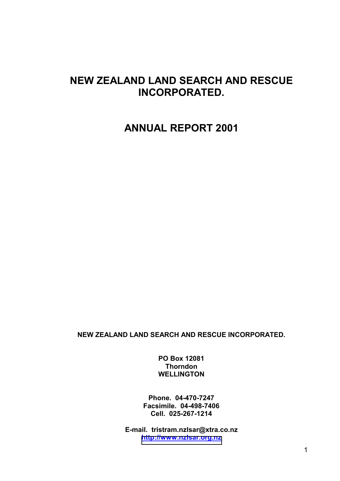# **NEW ZEALAND LAND SEARCH AND RESCUE INCORPORATED.**

# **ANNUAL REPORT 2001**

**NEW ZEALAND LAND SEARCH AND RESCUE INCORPORATED.** 

**PO Box 12081 Thorndon WELLINGTON** 

**Phone. 04-470-7247 Facsimile. 04-498-7406 Cell. 025-267-1214** 

**E-mail. tristram.nzlsar@xtra.co.nz [http://www.nzlsar.org.nz](http://www.nzlsar.org.nz/)**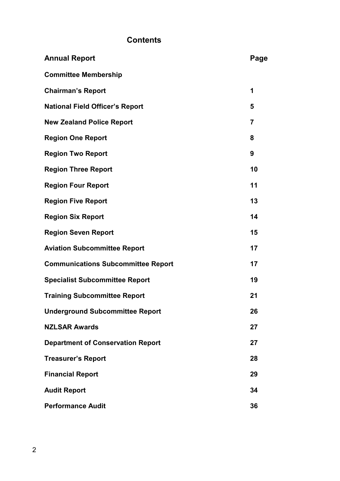# **Contents**

| <b>Annual Report</b>                      | Page |
|-------------------------------------------|------|
| <b>Committee Membership</b>               |      |
| <b>Chairman's Report</b>                  | 1    |
| <b>National Field Officer's Report</b>    | 5    |
| <b>New Zealand Police Report</b>          | 7    |
| <b>Region One Report</b>                  | 8    |
| <b>Region Two Report</b>                  | 9    |
| <b>Region Three Report</b>                | 10   |
| <b>Region Four Report</b>                 | 11   |
| <b>Region Five Report</b>                 | 13   |
| <b>Region Six Report</b>                  | 14   |
| <b>Region Seven Report</b>                | 15   |
| <b>Aviation Subcommittee Report</b>       | 17   |
| <b>Communications Subcommittee Report</b> | 17   |
| <b>Specialist Subcommittee Report</b>     | 19   |
| <b>Training Subcommittee Report</b>       | 21   |
| Underground Subcommittee Report           | 26   |
| <b>NZLSAR Awards</b>                      | 27   |
| <b>Department of Conservation Report</b>  | 27   |
| <b>Treasurer's Report</b>                 | 28   |
| <b>Financial Report</b>                   | 29   |
| <b>Audit Report</b>                       | 34   |
| <b>Performance Audit</b>                  | 36   |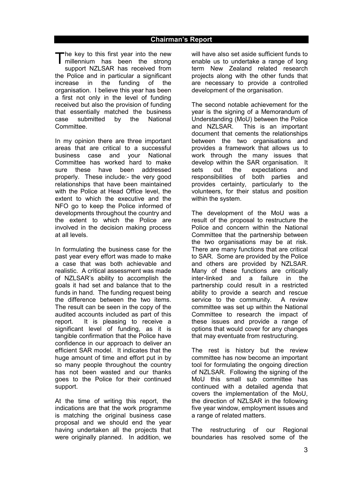he key to this first year into the new The key to this first year into the new<br>millennium has been the strong support NZLSAR has received from the Police and in particular a significant increase in the funding of the organisation. I believe this year has been a first not only in the level of funding received but also the provision of funding that essentially matched the business case submitted by the National Committee.

In my opinion there are three important areas that are critical to a successful business case and your National Committee has worked hard to make sure these have been addressed properly. These include:- the very good relationships that have been maintained with the Police at Head Office level, the extent to which the executive and the NFO go to keep the Police informed of developments throughout the country and the extent to which the Police are involved in the decision making process at all levels.

In formulating the business case for the past year every effort was made to make a case that was both achievable and realistic. A critical assessment was made of NZLSAR's ability to accomplish the goals it had set and balance that to the funds in hand. The funding request being the difference between the two items. The result can be seen in the copy of the audited accounts included as part of this report. It is pleasing to receive a significant level of funding, as it is tangible confirmation that the Police have confidence in our approach to deliver an efficient SAR model. It indicates that the huge amount of time and effort put in by so many people throughout the country has not been wasted and our thanks goes to the Police for their continued support.

At the time of writing this report, the indications are that the work programme is matching the original business case proposal and we should end the year having undertaken all the projects that were originally planned. In addition, we will have also set aside sufficient funds to enable us to undertake a range of long term New Zealand related research projects along with the other funds that are necessary to provide a controlled development of the organisation.

The second notable achievement for the year is the signing of a Memorandum of Understanding (MoU) between the Police and NZLSAR. This is an important document that cements the relationships between the two organisations and provides a framework that allows us to work through the many issues that develop within the SAR organisation. It sets out the expectations and responsibilities of both parties and provides certainty, particularly to the volunteers, for their status and position within the system.

The development of the MoU was a result of the proposal to restructure the Police and concern within the National Committee that the partnership between the two organisations may be at risk. There are many functions that are critical to SAR. Some are provided by the Police and others are provided by NZLSAR. Many of these functions are critically inter-linked and a failure in the partnership could result in a restricted ability to provide a search and rescue service to the community. A review committee was set up within the National Committee to research the impact of these issues and provide a range of options that would cover for any changes that may eventuate from restructuring.

The rest is history but the review committee has now become an important tool for formulating the ongoing direction of NZLSAR. Following the signing of the MoU this small sub committee has continued with a detailed agenda that covers the implementation of the MoU, the direction of NZLSAR in the following five year window, employment issues and a range of related matters.

The restructuring of our Regional boundaries has resolved some of the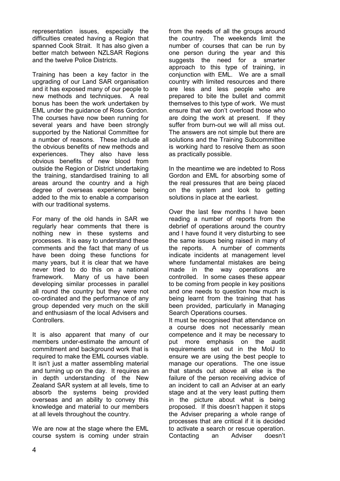representation issues, especially the difficulties created having a Region that spanned Cook Strait. It has also given a better match between NZLSAR Regions and the twelve Police Districts.

Training has been a key factor in the upgrading of our Land SAR organisation and it has exposed many of our people to new methods and techniques. A real bonus has been the work undertaken by EML under the guidance of Ross Gordon. The courses have now been running for several years and have been strongly supported by the National Committee for a number of reasons. These include all the obvious benefits of new methods and experiences. They also have less obvious benefits of new blood from outside the Region or District undertaking the training, standardised training to all areas around the country and a high degree of overseas experience being added to the mix to enable a comparison with our traditional systems.

For many of the old hands in SAR we regularly hear comments that there is nothing new in these systems and processes. It is easy to understand these comments and the fact that many of us have been doing these functions for many years, but it is clear that we have never tried to do this on a national framework. Many of us have been developing similar processes in parallel all round the country but they were not co-ordinated and the performance of any group depended very much on the skill and enthusiasm of the local Advisers and Controllers.

It is also apparent that many of our members under-estimate the amount of commitment and background work that is required to make the EML courses viable. It isn't just a matter assembling material and turning up on the day. It requires an in depth understanding of the New Zealand SAR system at all levels, time to absorb the systems being provided overseas and an ability to convey this knowledge and material to our members at all levels throughout the country.

We are now at the stage where the EML course system is coming under strain from the needs of all the groups around the country. The weekends limit the number of courses that can be run by one person during the year and this suggests the need for a smarter approach to this type of training, in conjunction with EML. We are a small country with limited resources and there are less and less people who are prepared to bite the bullet and commit themselves to this type of work. We must ensure that we don't overload those who are doing the work at present. If they suffer from burn-out we will all miss out. The answers are not simple but there are solutions and the Training Subcommittee is working hard to resolve them as soon as practically possible.

In the meantime we are indebted to Ross Gordon and EML for absorbing some of the real pressures that are being placed on the system and look to getting solutions in place at the earliest.

Over the last few months I have been reading a number of reports from the debrief of operations around the country and I have found it very disturbing to see the same issues being raised in many of the reports. A number of comments indicate incidents at management level where fundamental mistakes are being made in the way operations are controlled. In some cases these appear to be coming from people in key positions and one needs to question how much is being learnt from the training that has been provided, particularly in Managing Search Operations courses.

It must be recognised that attendance on a course does not necessarily mean competence and it may be necessary to put more emphasis on the audit requirements set out in the MoU to ensure we are using the best people to manage our operations. The one issue that stands out above all else is the failure of the person receiving advice of an incident to call an Adviser at an early stage and at the very least putting them in the picture about what is being proposed. If this doesn't happen it stops the Adviser preparing a whole range of processes that are critical if it is decided to activate a search or rescue operation. Contacting an Adviser doesn't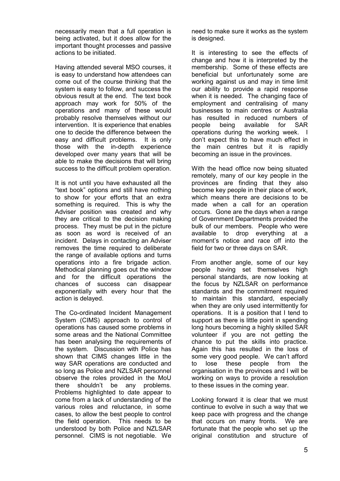necessarily mean that a full operation is being activated, but it does allow for the important thought processes and passive actions to be initiated.

Having attended several MSO courses, it is easy to understand how attendees can come out of the course thinking that the system is easy to follow, and success the obvious result at the end. The text book approach may work for 50% of the operations and many of these would probably resolve themselves without our intervention. It is experience that enables one to decide the difference between the easy and difficult problems. It is only those with the in-depth experience developed over many years that will be able to make the decisions that will bring success to the difficult problem operation.

It is not until you have exhausted all the "text book" options and still have nothing to show for your efforts that an extra something is required. This is why the Adviser position was created and why they are critical to the decision making process. They must be put in the picture as soon as word is received of an incident. Delays in contacting an Adviser removes the time required to deliberate the range of available options and turns operations into a fire brigade action. Methodical planning goes out the window and for the difficult operations the chances of success can disappear exponentially with every hour that the action is delayed.

The Co-ordinated Incident Management System (CIMS) approach to control of operations has caused some problems in some areas and the National Committee has been analysing the requirements of the system. Discussion with Police has shown that CIMS changes little in the way SAR operations are conducted and so long as Police and NZLSAR personnel observe the roles provided in the MoU there shouldn't be any problems. Problems highlighted to date appear to come from a lack of understanding of the various roles and reluctance, in some cases, to allow the best people to control the field operation. This needs to be understood by both Police and NZLSAR personnel. CIMS is not negotiable. We

need to make sure it works as the system is designed.

It is interesting to see the effects of change and how it is interpreted by the membership. Some of these effects are beneficial but unfortunately some are working against us and may in time limit our ability to provide a rapid response when it is needed. The changing face of employment and centralising of many businesses to main centres or Australia has resulted in reduced numbers of people being available for SAR operations during the working week. I don't expect this to have much effect in the main centres but it is rapidly becoming an issue in the provinces.

With the head office now being situated remotely, many of our key people in the provinces are finding that they also become key people in their place of work, which means there are decisions to be made when a call for an operation occurs. Gone are the days when a range of Government Departments provided the bulk of our members. People who were available to drop everything at a moment's notice and race off into the field for two or three days on SAR.

From another angle, some of our key people having set themselves high personal standards, are now looking at the focus by NZLSAR on performance standards and the commitment required to maintain this standard, especially when they are only used intermittently for operations. It is a position that I tend to support as there is little point in spending long hours becoming a highly skilled SAR volunteer if you are not getting the chance to put the skills into practice. Again this has resulted in the loss of some very good people. We can't afford to lose these people from the organisation in the provinces and I will be working on ways to provide a resolution to these issues in the coming year.

Looking forward it is clear that we must continue to evolve in such a way that we keep pace with progress and the change that occurs on many fronts. We are fortunate that the people who set up the original constitution and structure of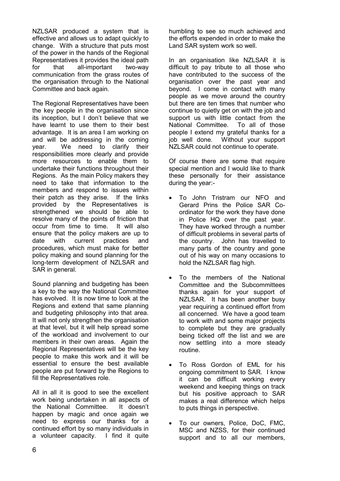NZLSAR produced a system that is effective and allows us to adapt quickly to change. With a structure that puts most of the power in the hands of the Regional Representatives it provides the ideal path for that all-important two-way communication from the grass routes of the organisation through to the National Committee and back again.

The Regional Representatives have been the key people in the organisation since its inception, but I don't believe that we have learnt to use them to their best advantage. It is an area I am working on and will be addressing in the coming year. We need to clarify their responsibilities more clearly and provide more resources to enable them to undertake their functions throughout their Regions. As the main Policy makers they need to take that information to the members and respond to issues within their patch as they arise. If the links provided by the Representatives is strengthened we should be able to resolve many of the points of friction that occur from time to time. It will also ensure that the policy makers are up to date with current practices and procedures, which must make for better policy making and sound planning for the long-term development of NZLSAR and SAR in general.

Sound planning and budgeting has been a key to the way the National Committee has evolved. It is now time to look at the Regions and extend that same planning and budgeting philosophy into that area. It will not only strengthen the organisation at that level, but it will help spread some of the workload and involvement to our members in their own areas. Again the Regional Representatives will be the key people to make this work and it will be essential to ensure the best available people are put forward by the Regions to fill the Representatives role.

All in all it is good to see the excellent work being undertaken in all aspects of the National Committee. It doesn't happen by magic and once again we need to express our thanks for a continued effort by so many individuals in a volunteer capacity. I find it quite

humbling to see so much achieved and the efforts expended in order to make the Land SAR system work so well.

In an organisation like NZLSAR it is difficult to pay tribute to all those who have contributed to the success of the organisation over the past year and beyond. I come in contact with many people as we move around the country but there are ten times that number who continue to quietly get on with the job and support us with little contact from the National Committee. To all of those people I extend my grateful thanks for a job well done. Without your support NZLSAR could not continue to operate.

Of course there are some that require special mention and I would like to thank these personally for their assistance during the year:-

- To John Tristram our NFO and Gerard Prins the Police SAR Coordinator for the work they have done in Police HQ over the past year. They have worked through a number of difficult problems in several parts of the country. John has travelled to many parts of the country and gone out of his way on many occasions to hold the NZLSAR flag high.
- To the members of the National Committee and the Subcommittees thanks again for your support of NZLSAR. It has been another busy year requiring a continued effort from all concerned. We have a good team to work with and some major projects to complete but they are gradually being ticked off the list and we are now settling into a more steady routine.
- To Ross Gordon of EML for his ongoing commitment to SAR. I know it can be difficult working every weekend and keeping things on track but his positive approach to SAR makes a real difference which helps to puts things in perspective.
- To our owners, Police, DoC, FMC, MSC and NZSS, for their continued support and to all our members,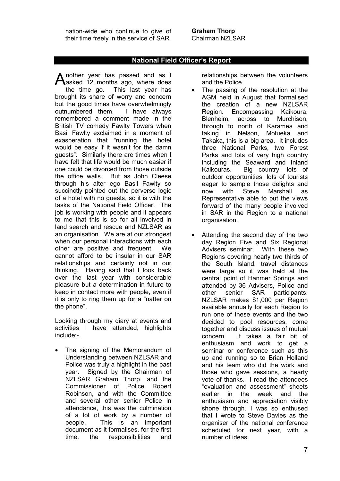nation-wide who continue to give of their time freely in the service of SAR.

# **National Field Officer's Report**

nother year has passed and as I Another year has passed and as I<br>Aasked 12 months ago, where does the time go. This last year has brought its share of worry and concern but the good times have overwhelmingly outnumbered them. I have always remembered a comment made in the British TV comedy Fawlty Towers when Basil Fawlty exclaimed in a moment of exasperation that "running the hotel would be easy if it wasn't for the damn guests". Similarly there are times when I have felt that life would be much easier if one could be divorced from those outside the office walls. But as John Cleese through his alter ego Basil Fawlty so succinctly pointed out the perverse logic of a hotel with no guests, so it is with the tasks of the National Field Officer. The job is working with people and it appears to me that this is so for all involved in land search and rescue and NZLSAR as an organisation. We are at our strongest when our personal interactions with each other are positive and frequent. We cannot afford to be insular in our SAR relationships and certainly not in our thinking. Having said that I look back over the last year with considerable pleasure but a determination in future to keep in contact more with people, even if it is only to ring them up for a "natter on the phone".

Looking through my diary at events and activities I have attended, highlights include:-

• The signing of the Memorandum of Understanding between NZLSAR and Police was truly a highlight in the past year. Signed by the Chairman of NZLSAR Graham Thorp, and the Commissioner of Police Robert Robinson, and with the Committee and several other senior Police in attendance, this was the culmination of a lot of work by a number of people. This is an important document as it formalises, for the first time, the responsibilities and

relationships between the volunteers and the Police.

- The passing of the resolution at the AGM held in August that formalised the creation of a new NZLSAR Region. Encompassing Kaikoura, Blenheim, across to Murchison, through to north of Karamea and taking in Nelson, Motueka and Takaka, this is a big area. It includes three National Parks, two Forest Parks and lots of very high country including the Seaward and Inland Kaikouras. Big country, lots of outdoor opportunities, lots of tourists eager to sample those delights and now with Steve Marshall as Representative able to put the views forward of the many people involved in SAR in the Region to a national organisation.
- Attending the second day of the two day Region Five and Six Regional Advisers seminar. With these two Regions covering nearly two thirds of the South Island, travel distances were large so it was held at the central point of Hanmer Springs and attended by 36 Advisers, Police and other senior SAR participants. NZLSAR makes \$1,000 per Region available annually for each Region to run one of these events and the two decided to pool resources, come together and discuss issues of mutual concern. It takes a fair bit of enthusiasm and work to get a seminar or conference such as this up and running so to Brian Holland and his team who did the work and those who gave sessions, a hearty vote of thanks. I read the attendees "evaluation and assessment" sheets earlier in the week and the enthusiasm and appreciation visibly shone through. I was so enthused that I wrote to Steve Davies as the organiser of the national conference scheduled for next year, with a number of ideas.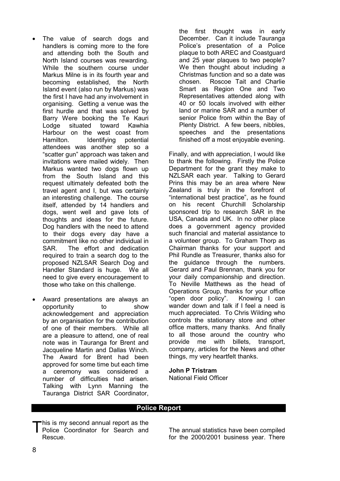- The value of search dogs and handlers is coming more to the fore and attending both the South and North Island courses was rewarding. While the southern course under Markus Milne is in its fourth year and becoming established, the North Island event (also run by Markus) was the first I have had any involvement in organising. Getting a venue was the first hurdle and that was solved by Barry Were booking the Te Kauri Lodge situated toward Kawhia Harbour on the west coast from Hamilton. Identifying potential attendees was another step so a "scatter gun" approach was taken and invitations were mailed widely. Then Markus wanted two dogs flown up from the South Island and this request ultimately defeated both the travel agent and I, but was certainly an interesting challenge. The course itself, attended by 14 handlers and dogs, went well and gave lots of thoughts and ideas for the future. Dog handlers with the need to attend to their dogs every day have a commitment like no other individual in SAR. The effort and dedication required to train a search dog to the proposed NZLSAR Search Dog and Handler Standard is huge. We all need to give every encouragement to those who take on this challenge.
- Award presentations are always an opportunity to show acknowledgement and appreciation by an organisation for the contribution of one of their members. While all are a pleasure to attend, one of real note was in Tauranga for Brent and Jacqueline Martin and Dallas Winch. The Award for Brent had been approved for some time but each time a ceremony was considered a number of difficulties had arisen. Talking with Lynn Manning the Tauranga District SAR Coordinator,

the first thought was in early December. Can it include Tauranga Police's presentation of a Police plaque to both AREC and Coastguard and 25 year plaques to two people? We then thought about including a Christmas function and so a date was chosen. Roscoe Tait and Charlie Smart as Region One and Two Representatives attended along with 40 or 50 locals involved with either land or marine SAR and a number of senior Police from within the Bay of Plenty District. A few beers, nibbles, speeches and the presentations finished off a most enjoyable evening.

Finally, and with appreciation, I would like to thank the following. Firstly the Police Department for the grant they make to NZLSAR each year. Talking to Gerard Prins this may be an area where New Zealand is truly in the forefront of "international best practice", as he found on his recent Churchill Scholarship sponsored trip to research SAR in the USA, Canada and UK. In no other place does a government agency provided such financial and material assistance to a volunteer group. To Graham Thorp as Chairman thanks for your support and Phil Rundle as Treasurer, thanks also for the guidance through the numbers. Gerard and Paul Brennan, thank you for your daily companionship and direction. To Neville Matthews as the head of Operations Group, thanks for your office "open door policy". Knowing I can wander down and talk if I feel a need is much appreciated. To Chris Wilding who controls the stationary store and other office matters, many thanks. And finally to all those around the country who provide me with billets, transport, company, articles for the News and other things, my very heartfelt thanks.

# **John P Tristram**

National Field Officer

# **Police Report**

This is my second annual report as the<br>Police Coordinator for Search and Police Coordinator for Search and Rescue.

The annual statistics have been compiled for the 2000/2001 business year. There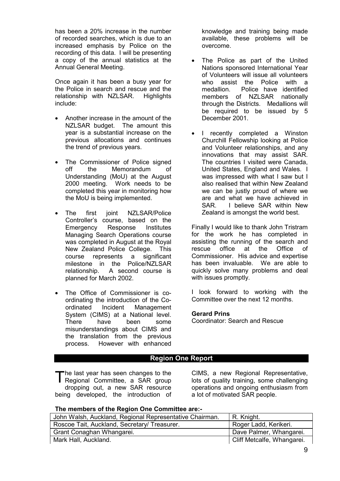has been a 20% increase in the number of recorded searches, which is due to an increased emphasis by Police on the recording of this data. I will be presenting a copy of the annual statistics at the Annual General Meeting.

Once again it has been a busy year for the Police in search and rescue and the relationship with NZLSAR. Highlights include:

- Another increase in the amount of the NZLSAR budget. The amount this year is a substantial increase on the previous allocations and continues the trend of previous years.
- The Commissioner of Police signed off the Memorandum of Understanding (MoU) at the August 2000 meeting. Work needs to be completed this year in monitoring how the MoU is being implemented.
- The first joint NZLSAR/Police Controller's course, based on the Emergency Response Institutes Managing Search Operations course was completed in August at the Royal New Zealand Police College. This course represents a significant milestone in the Police/NZLSAR relationship. A second course is planned for March 2002.
- The Office of Commissioner is coordinating the introduction of the Coordinated Incident Management System (CIMS) at a National level. There have been some misunderstandings about CIMS and the translation from the previous process. However with enhanced

knowledge and training being made available, these problems will be overcome.

- The Police as part of the United Nations sponsored International Year of Volunteers will issue all volunteers who assist the Police with a medallion. Police have identified members of NZLSAR nationally through the Districts. Medallions will be required to be issued by 5 December 2001.
- I recently completed a Winston Churchill Fellowship looking at Police and Volunteer relationships, and any innovations that may assist SAR. The countries I visited were Canada, United States, England and Wales. I was impressed with what I saw but I also realised that within New Zealand we can be justly proud of where we are and what we have achieved in SAR. I believe SAR within New Zealand is amongst the world best.

Finally I would like to thank John Tristram for the work he has completed in assisting the running of the search and rescue office at the Office of Commissioner. His advice and expertise has been invaluable. We are able to quickly solve many problems and deal with issues promptly.

I look forward to working with the Committee over the next 12 months.

# **Gerard Prins**

Coordinator: Search and Rescue

# **Region One Report**

he last year has seen changes to the The last year has seen changes to the<br>Regional Committee, a SAR group dropping out, a new SAR resource being developed, the introduction of

CIMS, a new Regional Representative, lots of quality training, some challenging operations and ongoing enthusiasm from a lot of motivated SAR people.

# **The members of the Region One Committee are:-**

| John Walsh, Auckland, Regional Representative Chairman. | $\mid$ R. Knight.          |
|---------------------------------------------------------|----------------------------|
| Roscoe Tait, Auckland, Secretary/ Treasurer.            | Roger Ladd, Kerikeri.      |
| Grant Conaghan Whangarei.                               | Dave Palmer, Whangarei.    |
| Mark Hall, Auckland.                                    | Cliff Metcalfe, Whangarei. |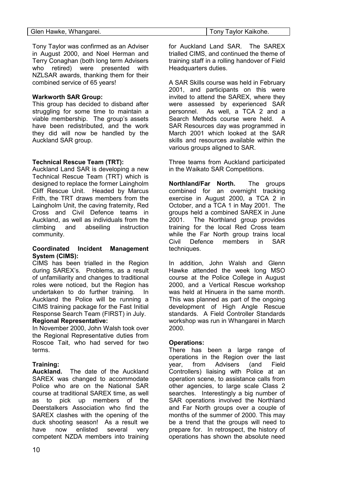| Glen Hawke, Whangarei. | Tony Taylor Kaikohe. |
|------------------------|----------------------|

Tony Taylor was confirmed as an Adviser in August 2000, and Noel Herman and Terry Conaghan (both long term Advisers who retired) were presented with NZLSAR awards, thanking them for their combined service of 65 years!

# **Warkworth SAR Group:**

This group has decided to disband after struggling for some time to maintain a viable membership. The group's assets have been redistributed, and the work they did will now be handled by the Auckland SAR group.

# **Technical Rescue Team (TRT):**

Auckland Land SAR is developing a new Technical Rescue Team (TRT) which is designed to replace the former Laingholm Cliff Rescue Unit. Headed by Marcus Frith, the TRT draws members from the Laingholm Unit, the caving fraternity, Red Cross and Civil Defence teams in Auckland, as well as individuals from the climbing and abseiling instruction community.

# **Coordinated Incident Management System (CIMS):**

CIMS has been trialled in the Region during SAREX's. Problems, as a result of unfamiliarity and changes to traditional roles were noticed, but the Region has undertaken to do further training. In Auckland the Police will be running a CIMS training package for the Fast Initial Response Search Team (FIRST) in July. **Regional Representative:**

In November 2000, John Walsh took over the Regional Representative duties from Roscoe Tait, who had served for two terms.

# **Training:**

**Auckland.** The date of the Auckland SAREX was changed to accommodate Police who are on the National SAR course at traditional SAREX time, as well as to pick up members of the Deerstalkers Association who find the SAREX clashes with the opening of the duck shooting season! As a result we have now enlisted several very competent NZDA members into training

for Auckland Land SAR. The SAREX trialled CIMS, and continued the theme of training staff in a rolling handover of Field Headquarters duties.

A SAR Skills course was held in February 2001, and participants on this were invited to attend the SAREX, where they were assessed by experienced SAR personnel. As well, a TCA 2 and a Search Methods course were held. A SAR Resources day was programmed in March 2001 which looked at the SAR skills and resources available within the various groups aligned to SAR.

Three teams from Auckland participated in the Waikato SAR Competitions.

**Northland/Far North.** The groups combined for an overnight tracking exercise in August 2000, a TCA 2 in October, and a TCA 1 in May 2001. The groups held a combined SAREX in June 2001. The Northland group provides training for the local Red Cross team while the Far North group trains local Civil Defence members in SAR techniques.

In addition, John Walsh and Glenn Hawke attended the week long MSO course at the Police College in August 2000, and a Vertical Rescue workshop was held at Hinuera in the same month. This was planned as part of the ongoing development of High Angle Rescue standards. A Field Controller Standards workshop was run in Whangarei in March 2000.

# **Operations:**

There has been a large range of operations in the Region over the last year, from Advisers (and Field Controllers) liaising with Police at an operation scene, to assistance calls from other agencies, to large scale Class 2 searches. Interestingly a big number of SAR operations involved the Northland and Far North groups over a couple of months of the summer of 2000. This may be a trend that the groups will need to prepare for. In retrospect, the history of operations has shown the absolute need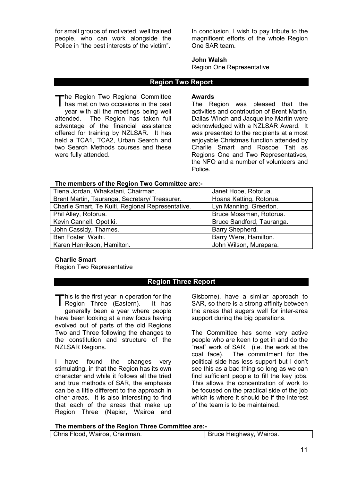for small groups of motivated, well trained people, who can work alongside the Police in "the best interests of the victim".

In conclusion, I wish to pay tribute to the magnificent efforts of the whole Region One SAR team.

#### **John Walsh**

Region One Representative

#### **Region Two Report**

The Region Two Regional Committee The Region Two Regional Committee<br>has met on two occasions in the past year with all the meetings being well attended. The Region has taken full advantage of the financial assistance offered for training by NZLSAR. It has held a TCA1, TCA2, Urban Search and two Search Methods courses and these were fully attended.

#### **Awards**

The Region was pleased that the activities and contribution of Brent Martin, Dallas Winch and Jacqueline Martin were acknowledged with a NZLSAR Award. It was presented to the recipients at a most enjoyable Christmas function attended by Charlie Smart and Roscoe Tait as Regions One and Two Representatives, the NFO and a number of volunteers and Police.

#### **The members of the Region Two Committee are:-**

| Tiena Jordan, Whakatani, Chairman.                | Janet Hope, Rotorua.      |
|---------------------------------------------------|---------------------------|
| Brent Martin, Tauranga, Secretary/ Treasurer.     | Hoana Katting, Rotorua.   |
| Charlie Smart, Te Kuiti, Regional Representative. | Lyn Manning, Greerton.    |
| Phil Alley, Rotorua.                              | Bruce Mossman, Rotorua.   |
| Kevin Cannell, Opotiki.                           | Bruce Sandford, Tauranga. |
| John Cassidy, Thames.                             | Barry Shepherd.           |
| Ben Foster, Waihi.                                | Barry Were, Hamilton.     |
| Karen Henrikson, Hamilton.                        | John Wilson, Murapara.    |

### **Charlie Smart**

Region Two Representative

# **Region Three Report**

This is the first year in operation for the This is the first year in operation for the<br>Region Three (Eastern). It has generally been a year where people have been looking at a new focus having evolved out of parts of the old Regions Two and Three following the changes to the constitution and structure of the NZLSAR Regions.

I have found the changes very stimulating, in that the Region has its own character and while it follows all the tried and true methods of SAR, the emphasis can be a little different to the approach in other areas. It is also interesting to find that each of the areas that make up Region Three (Napier, Wairoa and

Gisborne), have a similar approach to SAR, so there is a strong affinity between the areas that augers well for inter-area support during the big operations.

The Committee has some very active people who are keen to get in and do the "real" work of SAR. (i.e. the work at the coal face). The commitment for the political side has less support but I don't see this as a bad thing so long as we can find sufficient people to fill the key jobs. This allows the concentration of work to be focused on the practical side of the job which is where it should be if the interest of the team is to be maintained.

#### **The members of the Region Three Committee are:-**

Chris Flood, Wairoa, Chairman. Bruce Heighway, Wairoa.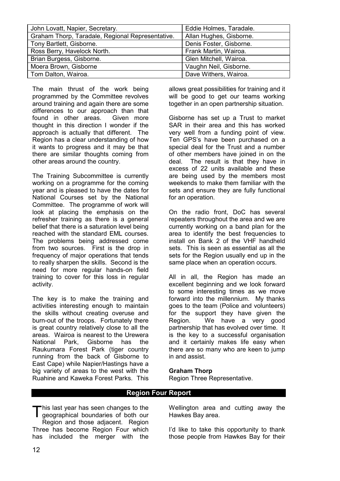| John Lovatt, Napier, Secretary.                  | Eddie Holmes, Taradale. |
|--------------------------------------------------|-------------------------|
| Graham Thorp, Taradale, Regional Representative. | Allan Hughes, Gisborne. |
| Tony Bartlett, Gisborne.                         | Denis Foster, Gisborne. |
| Ross Berry, Havelock North.                      | Frank Martin, Wairoa.   |
| Brian Burgess, Gisborne.                         | Glen Mitchell, Wairoa.  |
| Moera Brown, Gisborne                            | Vaughn Neil, Gisborne.  |
| Tom Dalton, Wairoa.                              | Dave Withers, Wairoa.   |

The main thrust of the work being programmed by the Committee revolves around training and again there are some differences to our approach than that found in other areas. Given more thought in this direction I wonder if the approach is actually that different. The Region has a clear understanding of how it wants to progress and it may be that there are similar thoughts coming from other areas around the country.

The Training Subcommittee is currently working on a programme for the coming year and is pleased to have the dates for National Courses set by the National Committee. The programme of work will look at placing the emphasis on the refresher training as there is a general belief that there is a saturation level being reached with the standard EML courses. The problems being addressed come from two sources. First is the drop in frequency of major operations that tends to really sharpen the skills. Second is the need for more regular hands-on field training to cover for this loss in regular activity.

The key is to make the training and activities interesting enough to maintain the skills without creating overuse and burn-out of the troops. Fortunately there is great country relatively close to all the areas. Wairoa is nearest to the Urewera National Park, Gisborne has the Raukumara Forest Park (tiger country running from the back of Gisborne to East Cape) while Napier/Hastings have a big variety of areas to the west with the Ruahine and Kaweka Forest Parks. This allows great possibilities for training and it will be good to get our teams working together in an open partnership situation.

Gisborne has set up a Trust to market SAR in their area and this has worked very well from a funding point of view. Ten GPS's have been purchased on a special deal for the Trust and a number of other members have joined in on the deal. The result is that they have in excess of 22 units available and these are being used by the members most weekends to make them familiar with the sets and ensure they are fully functional for an operation.

On the radio front, DoC has several repeaters throughout the area and we are currently working on a band plan for the area to identify the best frequencies to install on Bank 2 of the VHF handheld sets. This is seen as essential as all the sets for the Region usually end up in the same place when an operation occurs.

All in all, the Region has made an excellent beginning and we look forward to some interesting times as we move forward into the millennium. My thanks goes to the team (Police and volunteers) for the support they have given the Region. We have a very good partnership that has evolved over time. It is the key to a successful organisation and it certainly makes life easy when there are so many who are keen to jump in and assist.

#### **Graham Thorp**

Region Three Representative.

# **Region Four Report**

This last year has seen changes to the geographical boundaries of both our geographical boundaries of both our Region and those adjacent. Region Three has become Region Four which has included the merger with the

Wellington area and cutting away the Hawkes Bay area.

I'd like to take this opportunity to thank those people from Hawkes Bay for their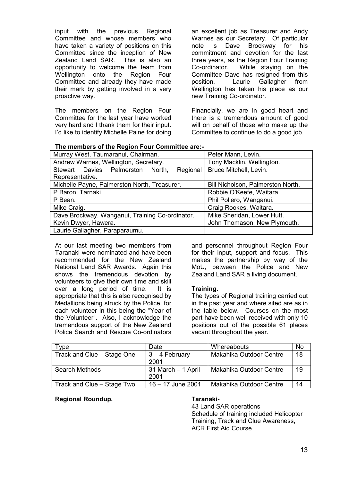input with the previous Regional Committee and whose members who have taken a variety of positions on this Committee since the inception of New Zealand Land SAR. This is also an opportunity to welcome the team from Wellington onto the Region Four Committee and already they have made their mark by getting involved in a very proactive way.

The members on the Region Four Committee for the last year have worked very hard and I thank them for their input. I'd like to identify Michelle Paine for doing

an excellent job as Treasurer and Andy Warnes as our Secretary. Of particular note is Dave Brockway for his commitment and devotion for the last three years, as the Region Four Training Co-ordinator. While staying on the Committee Dave has resigned from this position. Laurie Gallagher from Wellington has taken his place as our new Training Co-ordinator.

Financially, we are in good heart and there is a tremendous amount of good will on behalf of those who make up the Committee to continue to do a good job.

| The members of the Region Four Committee are:- |
|------------------------------------------------|
|------------------------------------------------|

| Murray West, Taumaranui, Chairman.              | Peter Mann, Levin.                |
|-------------------------------------------------|-----------------------------------|
| Andrew Warnes, Wellington, Secretary.           | Tony Macklin, Wellington.         |
| Stewart Davies Palmerston North,<br>Regional    | Bruce Mitchell, Levin.            |
| Representative.                                 |                                   |
| Michelle Payne, Palmerston North, Treasurer.    | Bill Nicholson, Palmerston North. |
| P Baron, Tarnaki.                               | Robbie O'Keefe, Waitara.          |
| P Bean.                                         | Phil Pollero, Wanganui.           |
| Mike Craig.                                     | Craig Rookes, Waitara.            |
| Dave Brockway, Wanganui, Training Co-ordinator. | Mike Sheridan, Lower Hutt.        |
| Kevin Dwyer, Hawera.                            | John Thomason, New Plymouth.      |
| Laurie Gallagher, Paraparaumu.                  |                                   |

At our last meeting two members from Taranaki were nominated and have been recommended for the New Zealand National Land SAR Awards. Again this shows the tremendous devotion by volunteers to give their own time and skill over a long period of time. It is appropriate that this is also recognised by Medallions being struck by the Police, for each volunteer in this being the "Year of the Volunteer". Also, I acknowledge the tremendous support of the New Zealand Police Search and Rescue Co-ordinators

and personnel throughout Region Four for their input, support and focus. This makes the partnership by way of the MoU, between the Police and New Zealand Land SAR a living document.

# **Training.**

The types of Regional training carried out in the past year and where sited are as in the table below. Courses on the most part have been well received with only 10 positions out of the possible 61 places vacant throughout the year.

| Type                       | Date                       | Whereabouts             | No |
|----------------------------|----------------------------|-------------------------|----|
| Track and Clue - Stage One | $3 - 4$ February<br>2001   | Makahika Outdoor Centre | 18 |
| <b>Search Methods</b>      | 31 March - 1 April<br>2001 | Makahika Outdoor Centre | 19 |
| Track and Clue - Stage Two | 16 - 17 June 2001          | Makahika Outdoor Centre | 14 |

# **Regional Roundup. Taranaki-**

43 Land SAR operations Schedule of training included Helicopter Training, Track and Clue Awareness, ACR First Aid Course.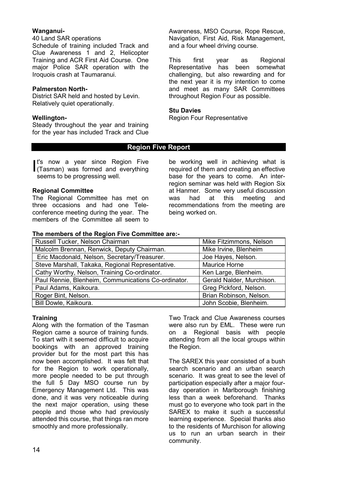# **Wanganui-**

#### 40 Land SAR operations

Schedule of training included Track and Clue Awareness 1 and 2, Helicopter Training and ACR First Aid Course. One major Police SAR operation with the Iroquois crash at Taumaranui.

## **Palmerston North-**

District SAR held and hosted by Levin. Relatively quiet operationally.

### **Wellington-**

Steady throughout the year and training for the year has included Track and Clue Awareness, MSO Course, Rope Rescue, Navigation, First Aid, Risk Management, and a four wheel driving course.

This first year as Regional Representative has been somewhat challenging, but also rewarding and for the next year it is my intention to come and meet as many SAR Committees throughout Region Four as possible.

#### **Stu Davies**

Region Four Representative

# **Region Five Report**

t's now a year since Region Five It's now a year since Region Five<br>(Tasman) was formed and everything seems to be progressing well.

#### **Regional Committee**

The Regional Committee has met on three occasions and had one Teleconference meeting during the year. The members of the Committee all seem to be working well in achieving what is required of them and creating an effective base for the years to come. An interregion seminar was held with Region Six at Hanmer. Some very useful discussion was had at this meeting and recommendations from the meeting are being worked on.

#### **The members of the Region Five Committee are:-**

| Russell Tucker, Nelson Chairman                     | Mike Fitzimmons, Nelson   |
|-----------------------------------------------------|---------------------------|
| Malcolm Brennan, Renwick, Deputy Chairman.          | Mike Irvine, Blenheim     |
| Eric Macdonald, Nelson, Secretary/Treasurer.        | Joe Hayes, Nelson.        |
| Steve Marshall, Takaka, Regional Representative.    | Maurice Horne             |
| Cathy Worthy, Nelson, Training Co-ordinator.        | Ken Large, Blenheim.      |
| Paul Rennie, Blenheim, Communications Co-ordinator. | Gerald Nalder, Murchison. |
| Paul Adams, Kaikoura.                               | Greg Pickford, Nelson.    |
| Roger Bint, Nelson.                                 | Brian Robinson, Nelson.   |
| Bill Dowle, Kaikoura.                               | John Scobie, Blenheim.    |

# **Training**

Along with the formation of the Tasman Region came a source of training funds. To start with it seemed difficult to acquire bookings with an approved training provider but for the most part this has now been accomplished. It was felt that for the Region to work operationally, more people needed to be put through the full 5 Day MSO course run by Emergency Management Ltd. This was done, and it was very noticeable during the next major operation, using these people and those who had previously attended this course, that things ran more smoothly and more professionally.

Two Track and Clue Awareness courses were also run by EML. These were run on a Regional basis with people attending from all the local groups within the Region.

The SAREX this year consisted of a bush search scenario and an urban search scenario. It was great to see the level of participation especially after a major fourday operation in Marlborough finishing less than a week beforehand. Thanks must go to everyone who took part in the SAREX to make it such a successful learning experience. Special thanks also to the residents of Murchison for allowing us to run an urban search in their community.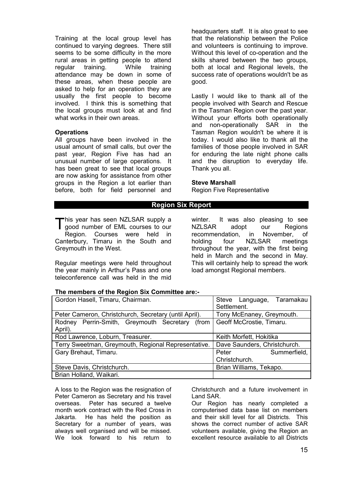Training at the local group level has continued to varying degrees. There still seems to be some difficulty in the more rural areas in getting people to attend regular training. While training attendance may be down in some of these areas, when these people are asked to help for an operation they are usually the first people to become involved. I think this is something that the local groups must look at and find what works in their own areas.

#### **Operations**

All groups have been involved in the usual amount of small calls, but over the past year, Region Five has had an unusual number of large operations. It has been great to see that local groups are now asking for assistance from other groups in the Region a lot earlier than before, both for field personnel and headquarters staff. It is also great to see that the relationship between the Police and volunteers is continuing to improve. Without this level of co-operation and the skills shared between the two groups, both at local and Regional levels, the success rate of operations wouldn't be as good.

Lastly I would like to thank all of the people involved with Search and Rescue in the Tasman Region over the past year. Without your efforts both operationally and non-operationally SAR in the Tasman Region wouldn't be where it is today. I would also like to thank all the families of those people involved in SAR for enduring the late night phone calls and the disruption to everyday life. Thank you all.

#### **Steve Marshall**

Region Five Representative

# **Region Six Report**

his year has seen NZLSAR supply a This year has seen NZLSAR supply a<br>I good number of EML courses to our Region. Courses were held in Canterbury, Timaru in the South and Greymouth in the West.

Regular meetings were held throughout the year mainly in Arthur's Pass and one teleconference call was held in the mid

winter. It was also pleasing to see NZLSAR adopt our Regions recommendation, in November, of holding four NZLSAR meetings throughout the year, with the first being held in March and the second in May. This will certainly help to spread the work load amongst Regional members.

#### **The members of the Region Six Committee are:-**

| Gordon Hasell, Timaru, Chairman.                      | Steve Language, Taramakau<br>Settlement. |
|-------------------------------------------------------|------------------------------------------|
| Peter Cameron, Christchurch, Secretary (until April). | Tony McEnaney, Greymouth.                |
| Rodney Perrin-Smith, Greymouth Secretary (from        | Geoff McCrostie, Timaru.                 |
| April).                                               |                                          |
| Rod Lawrence, Loburn, Treasurer.                      | Keith Morfett, Hokitika                  |
| Terry Sweetman, Greymouth, Regional Representative.   | Dave Saunders, Christchurch.             |
| Gary Brehaut, Timaru.                                 | Summerfield,<br>Peter                    |
|                                                       | Christchurch.                            |
| Steve Davis, Christchurch.                            | Brian Williams, Tekapo.                  |
| Brian Holland, Waikari.                               |                                          |

A loss to the Region was the resignation of Peter Cameron as Secretary and his travel overseas. Peter has secured a twelve month work contract with the Red Cross in Jakarta. He has held the position as Secretary for a number of years, was always well organised and will be missed. We look forward to his return to

Christchurch and a future involvement in Land SAR.

Our Region has nearly completed a computerised data base list on members and their skill level for all Districts. This shows the correct number of active SAR volunteers available, giving the Region an excellent resource available to all Districts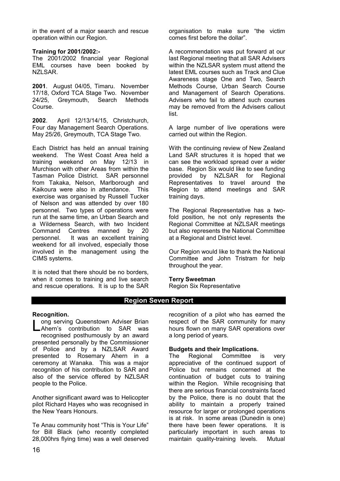in the event of a major search and rescue operation within our Region.

#### **Training for 2001/2002:-**

The 2001/2002 financial year Regional EML courses have been booked by NZLSAR.

**2001**. August 04/05, Timaru. November 17/18, Oxford TCA Stage Two. November 24/25, Greymouth, Search Methods Course.

**2002**. April 12/13/14/15, Christchurch, Four day Management Search Operations. May 25/26, Greymouth, TCA Stage Two.

Each District has held an annual training weekend. The West Coast Area held a training weekend on May 12/13 in Murchison with other Areas from within the Tasman Police District. SAR personnel from Takaka, Nelson, Marlborough and Kaikoura were also in attendance. This exercise was organised by Russell Tucker of Nelson and was attended by over 180 personnel. Two types of operations were run at the same time, an Urban Search and a Wilderness Search, with two Incident Command Centres manned by 20 personnel. It was an excellent training weekend for all involved, especially those involved in the management using the CIMS systems.

It is noted that there should be no borders, when it comes to training and live search and rescue operations. It is up to the SAR organisation to make sure "the victim comes first before the dollar".

A recommendation was put forward at our last Regional meeting that all SAR Advisers within the NZLSAR system must attend the latest EML courses such as Track and Clue Awareness stage One and Two, Search Methods Course, Urban Search Course and Management of Search Operations. Advisers who fail to attend such courses may be removed from the Advisers callout list.

A large number of live operations were carried out within the Region.

With the continuing review of New Zealand Land SAR structures it is hoped that we can see the workload spread over a wider base. Region Six would like to see funding provided by NZLSAR for Regional Representatives to travel around the Region to attend meetings and SAR training days.

The Regional Representative has a twofold position, he not only represents the Regional Committee at NZLSAR meetings but also represents the National Committee at a Regional and District level.

Our Region would like to thank the National Committee and John Tristram for help throughout the year.

#### **Terry Sweetman**

Region Six Representative

# **Region Seven Report**

#### **Recognition.**

ong serving Queenstown Adviser Brian Long serving Queenstown Adviser Brian<br>
Ahern's contribution to SAR was recognised posthumously by an award presented personally by the Commissioner of Police and by a NZLSAR Award presented to Rosemary Ahern in a ceremony at Wanaka. This was a major recognition of his contribution to SAR and also of the service offered by NZLSAR people to the Police.

Another significant award was to Helicopter pilot Richard Hayes who was recognised in the New Years Honours.

Te Anau community host "This is Your Life" for Bill Black (who recently completed 28,000hrs flying time) was a well deserved recognition of a pilot who has earned the respect of the SAR community for many hours flown on many SAR operations over a long period of years.

#### **Budgets and their Implications.**

The Regional Committee is very appreciative of the continued support of Police but remains concerned at the continuation of budget cuts to training within the Region. While recognising that there are serious financial constraints faced by the Police, there is no doubt that the ability to maintain a properly trained resource for larger or prolonged operations is at risk. In some areas (Dunedin is one) there have been fewer operations. It is particularly important in such areas to maintain quality-training levels. Mutual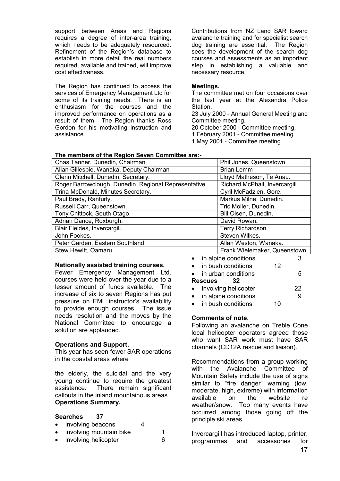support between Areas and Regions requires a degree of inter-area training, which needs to be adequately resourced. Refinement of the Region's database to establish in more detail the real numbers required, available and trained, will improve cost effectiveness.

The Region has continued to access the services of Emergency Management Ltd for some of its training needs. There is an enthusiasm for the courses and the improved performance on operations as a result of them. The Region thanks Ross Gordon for his motivating instruction and assistance.

Contributions from NZ Land SAR toward avalanche training and for specialist search dog training are essential. The Region sees the development of the search dog courses and assessments as an important step in establishing a valuable and necessary resource.

#### **Meetings.**

The committee met on four occasions over the last year at the Alexandra Police Station.

23 July 2000 - Annual General Meeting and Committee meeting.

20 October 2000 - Committee meeting.

1 February 2001 - Committee meeting.

1 May 2001 - Committee meeting.

| Phil Jones, Queenstown         |
|--------------------------------|
| <b>Brian Lemm</b>              |
| Lloyd Matheson, Te Anau.       |
| Richard McPhail, Invercargill. |
| Cyril McFadzien, Gore.         |
| Markus Milne, Dunedin.         |
| Tric Moller, Dunedin.          |
| Bill Olsen, Dunedin.           |
| David Rowan.                   |
| Terry Richardson.              |
| Steven Wilkes.                 |
| Allan Weston, Wanaka.          |
| Frank Wielemaker, Queenstown.  |
|                                |

# **Nationally assisted training courses.**

Fewer Emergency Management Ltd. courses were held over the year due to a lesser amount of funds available. The increase of six to seven Regions has put pressure on EML instructor's availability to provide enough courses. The issue needs resolution and the moves by the National Committee to encourage a solution are applauded.

#### **Operations and Support.**

This year has seen fewer SAR operations in the coastal areas where

the elderly, the suicidal and the very young continue to require the greatest assistance. There remain significant callouts in the inland mountainous areas. **Operations Summary.** 

# **Searches 37**

| involving beacons                  |  |
|------------------------------------|--|
| المعانط وبنوفس بمومر وموشرا ويرودن |  |

involving mountain bike 1 involving helicopter 6

|           |         | Frank Wielemaker, Queenstown. |    |    |
|-----------|---------|-------------------------------|----|----|
| $\bullet$ |         | in alpine conditions          |    | З  |
|           |         | • in bush conditions          | 12 |    |
|           |         | $\bullet$ in urban conditions |    | 5  |
|           | Rescues | 32                            |    |    |
|           |         | • involving helicopter        |    | 22 |

in alpine conditions 9

in bush conditions 10

# **Comments of note.**

Following an avalanche on Treble Cone local helicopter operators agreed those who want SAR work must have SAR channels (CD12A rescue and liaison).

Recommendations from a group working with the Avalanche Committee of Mountain Safety include the use of signs similar to "fire danger" warning (low, moderate, high, extreme) with information available on the website re weather/snow. Too many events have occurred among those going off the principle ski areas.

Invercargill has introduced laptop, printer, programmes and accessories for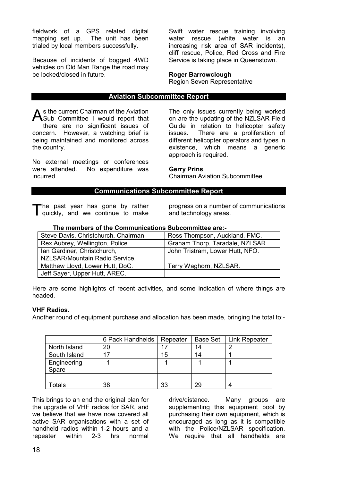fieldwork of a GPS related digital mapping set up. The unit has been trialed by local members successfully.

Because of incidents of bogged 4WD vehicles on Old Man Range the road may be locked/closed in future.

Swift water rescue training involving water rescue (white water is an increasing risk area of SAR incidents), cliff rescue, Police, Red Cross and Fire Service is taking place in Queenstown.

# **Roger Barrowclough**

Region Seven Representative

# **Aviation Subcommittee Report**

s the current Chairman of the Aviation As the current Chairman of the Aviation<br>Sub Committee I would report that there are no significant issues of concern. However, a watching brief is being maintained and monitored across the country.

No external meetings or conferences were attended. No expenditure was incurred.

The only issues currently being worked on are the updating of the NZLSAR Field Guide in relation to helicopter safety issues. There are a proliferation of different helicopter operators and types in existence, which means a generic approach is required.

# **Gerry Prins**

Chairman Aviation Subcommittee

# **Communications Subcommittee Report**

he past year has gone by rather The past year has gone by rather<br>T quickly, and we continue to make progress on a number of communications and technology areas.

| THE MEMORIA OF THE AQUINTAMERATIONS AGREEMENTED AT A |                                 |
|------------------------------------------------------|---------------------------------|
| Steve Davis, Christchurch, Chairman.                 | Ross Thompson, Auckland, FMC.   |
| Rex Aubrey, Wellington, Police.                      | Graham Thorp, Taradale, NZLSAR. |
| Ian Gardiner, Christchurch,                          | John Tristram, Lower Hutt, NFO. |
| NZLSAR/Mountain Radio Service.                       |                                 |
| Matthew Lloyd, Lower Hutt, DoC.                      | Terry Waghorn, NZLSAR.          |
| Jeff Sayer, Upper Hutt, AREC.                        |                                 |

**The members of the Communications Subcommittee are:-** 

Here are some highlights of recent activities, and some indication of where things are headed.

#### **VHF Radios.**

Another round of equipment purchase and allocation has been made, bringing the total to:-

|                      | 6 Pack Handhelds | Repeater | Base Set | Link Repeater |
|----------------------|------------------|----------|----------|---------------|
| North Island         | 20               |          | 14       | Ē             |
| South Island         | 17               | 15       | 14       |               |
| Engineering<br>Spare |                  |          |          |               |
|                      |                  |          |          |               |
| <b>Totals</b>        | 38               | 33       | 29       |               |

This brings to an end the original plan for the upgrade of VHF radios for SAR, and we believe that we have now covered all active SAR organisations with a set of handheld radios within 1-2 hours and a repeater within 2-3 hrs normal

drive/distance. Many groups are supplementing this equipment pool by purchasing their own equipment, which is encouraged as long as it is compatible with the Police/NZLSAR specification. We require that all handhelds are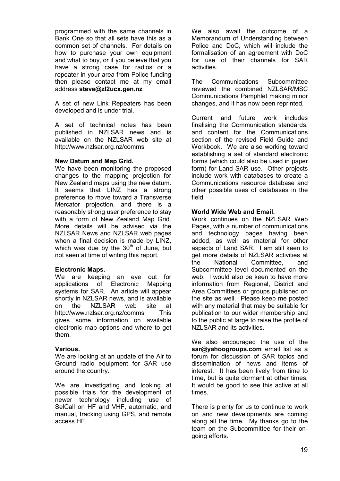programmed with the same channels in Bank One so that all sets have this as a common set of channels. For details on how to purchase your own equipment and what to buy, or if you believe that you have a strong case for radios or a repeater in your area from Police funding then please contact me at my email address **steve@zl2ucx.gen.nz**

A set of new Link Repeaters has been developed and is under trial.

A set of technical notes has been published in NZLSAR news and is available on the NZLSAR web site at http://www.nzlsar.org.nz/comms

# **New Datum and Map Grid.**

We have been monitoring the proposed changes to the mapping projection for New Zealand maps using the new datum. It seems that LINZ has a strong preference to move toward a Transverse Mercator projection, and there is a reasonably strong user preference to stay with a form of New Zealand Map Grid. More details will be advised via the NZLSAR News and NZLSAR web pages when a final decision is made by LINZ, which was due by the  $30<sup>th</sup>$  of June, but not seen at time of writing this report.

# **Electronic Maps.**

We are keeping an eye out for applications of Electronic Mapping systems for SAR. An article will appear shortly in NZLSAR news, and is available on the NZLSAR web site at http://www.nzlsar.org.nz/comms This gives some information on available electronic map options and where to get them.

# **Various.**

We are looking at an update of the Air to Ground radio equipment for SAR use around the country.

We are investigating and looking at possible trials for the development of newer technology including use of SelCall on HF and VHF, automatic, and manual, tracking using GPS, and remote access HF.

We also await the outcome of a Memorandum of Understanding between Police and DoC, which will include the formalisation of an agreement with DoC for use of their channels for SAR activities.

The Communications Subcommittee reviewed the combined NZLSAR/MSC Communications Pamphlet making minor changes, and it has now been reprinted.

Current and future work includes finalising the Communication standards, and content for the Communications section of the revised Field Guide and Workbook. We are also working toward establishing a set of standard electronic forms (which could also be used in paper form) for Land SAR use. Other projects include work with databases to create a Communications resource database and other possible uses of databases in the field.

# **World Wide Web and Email.**

Work continues on the NZLSAR Web Pages, with a number of communications and technology pages having been added, as well as material for other aspects of Land SAR. I am still keen to get more details of NZLSAR activities at the National Committee, and Subcommittee level documented on the web. I would also be keen to have more information from Regional, District and Area Committees or groups published on the site as well. Please keep me posted with any material that may be suitable for publication to our wider membership and to the public at large to raise the profile of NZLSAR and its activities.

We also encouraged the use of the **sar@yahoogroups.com** email list as a forum for discussion of SAR topics and dissemination of news and items of interest. It has been lively from time to time, but is quite dormant at other times. It would be good to see this active at all times.

There is plenty for us to continue to work on and new developments are coming along all the time. My thanks go to the team on the Subcommittee for their ongoing efforts.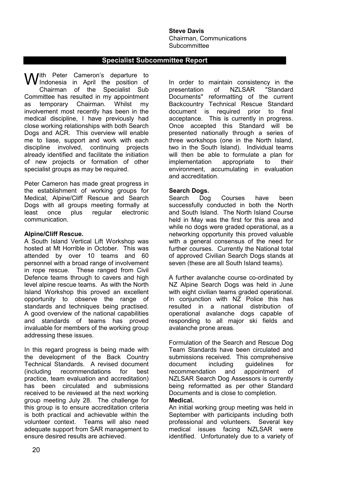**Steve Davis**  Chairman, Communications **Subcommittee** 

# **Specialist Subcommittee Report**

With Peter Cameron's departure to<br>
Windonesia in April the position of Indonesia in April the position of Chairman of the Specialist Sub Committee has resulted in my appointment as temporary Chairman. Whilst my involvement most recently has been in the medical discipline, I have previously had close working relationships with both Search Dogs and ACR. This overview will enable me to liase, support and work with each discipline involved, continuing projects already identified and facilitate the initiation of new projects or formation of other specialist groups as may be required.

Peter Cameron has made great progress in the establishment of working groups for Medical, Alpine/Cliff Rescue and Search Dogs with all groups meeting formally at<br>least once plus reqular electronic least once plus regular electronic communication.

#### **Alpine/Cliff Rescue.**

A South Island Vertical Lift Workshop was hosted at Mt Horrible in October. This was attended by over 10 teams and 60 personnel with a broad range of involvement in rope rescue. These ranged from Civil Defence teams through to cavers and high level alpine rescue teams. As with the North Island Workshop this proved an excellent opportunity to observe the range of standards and techniques being practised. A good overview of the national capabilities and standards of teams has proved invaluable for members of the working group addressing these issues.

In this regard progress is being made with the development of the Back Country Technical Standards. A revised document (including recommendations for best practice, team evaluation and accreditation) has been circulated and submissions received to be reviewed at the next working group meeting July 28. The challenge for this group is to ensure accreditation criteria is both practical and achievable within the volunteer context. Teams will also need adequate support from SAR management to ensure desired results are achieved.

In order to maintain consistency in the presentation of NZLSAR "Standard Documents" reformatting of the current Backcountry Technical Rescue Standard document is required prior to final acceptance. This is currently in progress. Once accepted this Standard will be presented nationally through a series of three workshops (one in the North Island, two in the South Island). Individual teams will then be able to formulate a plan for implementation appropriate to their environment, accumulating in evaluation and accreditation.

# **Search Dogs.**

Search Dog Courses have been successfully conducted in both the North and South Island. The North Island Course held in May was the first for this area and while no dogs were graded operational, as a networking opportunity this proved valuable with a general consensus of the need for further courses. Currently the National total of approved Civilian Search Dogs stands at seven (these are all South Island teams).

A further avalanche course co-ordinated by NZ Alpine Search Dogs was held in June with eight civilian teams graded operational. In conjunction with NZ Police this has resulted in a national distribution of operational avalanche dogs capable of responding to all major ski fields and avalanche prone areas.

Formulation of the Search and Rescue Dog Team Standards have been circulated and submissions received. This comprehensive document including guidelines for recommendation and appointment of NZLSAR Search Dog Assessors is currently being reformatted as per other Standard Documents and is close to completion.

#### **Medical.**

An initial working group meeting was held in September with participants including both professional and volunteers. Several key medical issues facing NZLSAR were identified. Unfortunately due to a variety of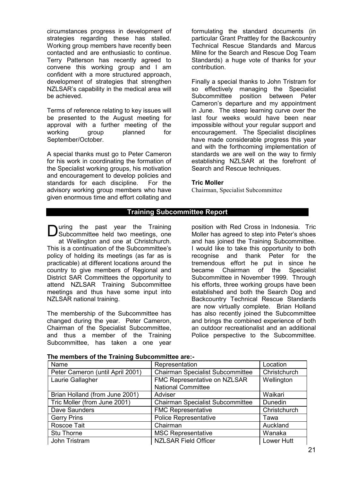circumstances progress in development of strategies regarding these has stalled. Working group members have recently been contacted and are enthusiastic to continue. Terry Patterson has recently agreed to convene this working group and I am confident with a more structured approach, development of strategies that strengthen NZLSAR's capability in the medical area will be achieved.

Terms of reference relating to key issues will be presented to the August meeting for approval with a further meeting of the working group planned for September/October.

A special thanks must go to Peter Cameron for his work in coordinating the formation of the Specialist working groups, his motivation and encouragement to develop policies and standards for each discipline. For the advisory working group members who have given enormous time and effort collating and formulating the standard documents (in particular Grant Prattley for the Backcountry Technical Rescue Standards and Marcus Milne for the Search and Rescue Dog Team Standards) a huge vote of thanks for your contribution.

Finally a special thanks to John Tristram for so effectively managing the Specialist Subcommittee position between Peter Cameron's departure and my appointment in June. The steep learning curve over the last four weeks would have been near impossible without your regular support and encouragement. The Specialist disciplines have made considerable progress this year and with the forthcoming implementation of standards we are well on the way to firmly establishing NZLSAR at the forefront of Search and Rescue techniques.

#### **Tric Moller**

Chairman, Specialist Subcommittee

# **Training Subcommittee Report**

**D** subcommittee held two meetings, one Subcommittee held two meetings, one at Wellington and one at Christchurch. This is a continuation of the Subcommittee's policy of holding its meetings (as far as is practicable) at different locations around the country to give members of Regional and District SAR Committees the opportunity to attend NZLSAR Training Subcommittee meetings and thus have some input into NZLSAR national training.

The membership of the Subcommittee has changed during the year. Peter Cameron, Chairman of the Specialist Subcommittee, and thus a member of the Training Subcommittee, has taken a one year

position with Red Cross in Indonesia. Tric Moller has agreed to step into Peter's shoes and has joined the Training Subcommittee. I would like to take this opportunity to both recognise and thank Peter for the tremendous effort he put in since he became Chairman of the Specialist Subcommittee in November 1999. Through his efforts, three working groups have been established and both the Search Dog and Backcountry Technical Rescue Standards are now virtually complete. Brian Holland has also recently joined the Subcommittee and brings the combined experience of both an outdoor recreationalist and an additional Police perspective to the Subcommittee.

| Name                             | Representation                          | Location     |
|----------------------------------|-----------------------------------------|--------------|
| Peter Cameron (until April 2001) | <b>Chairman Specialist Subcommittee</b> | Christchurch |
| Laurie Gallagher                 | FMC Representative on NZLSAR            | Wellington   |
|                                  | <b>National Committee</b>               |              |
| Brian Holland (from June 2001)   | Adviser                                 | Waikari      |
| Tric Moller (from June 2001)     | <b>Chairman Specialist Subcommittee</b> | Dunedin      |
| Dave Saunders                    | <b>FMC Representative</b>               | Christchurch |
| <b>Gerry Prins</b>               | <b>Police Representative</b>            | Tawa         |
| Roscoe Tait                      | Chairman                                | Auckland     |
| Stu Thorne                       | <b>MSC Representative</b>               | Wanaka       |
| John Tristram                    | <b>NZLSAR Field Officer</b>             | Lower Hutt   |

# **The members of the Training Subcommittee are:-**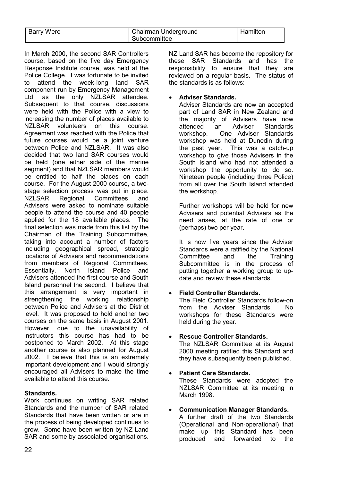| Barry Were | Chairman Underground | Hamilton |  |
|------------|----------------------|----------|--|
|            | Subcommittee         |          |  |

In March 2000, the second SAR Controllers course, based on the five day Emergency Response Institute course, was held at the Police College. I was fortunate to be invited to attend the week-long land SAR component run by Emergency Management Ltd, as the only NZLSAR attendee. Subsequent to that course, discussions were held with the Police with a view to increasing the number of places available to NZLSAR volunteers on this course. Agreement was reached with the Police that future courses would be a joint venture between Police and NZLSAR. It was also decided that two land SAR courses would be held (one either side of the marine segment) and that NZLSAR members would be entitled to half the places on each course. For the August 2000 course, a twostage selection process was put in place. NZLSAR Regional Committees and Advisers were asked to nominate suitable people to attend the course and 40 people applied for the 18 available places. The final selection was made from this list by the Chairman of the Training Subcommittee, taking into account a number of factors including geographical spread, strategic locations of Advisers and recommendations from members of Regional Committees. Essentially, North Island Police and Advisers attended the first course and South Island personnel the second. I believe that this arrangement is very important in strengthening the working relationship between Police and Advisers at the District level. It was proposed to hold another two courses on the same basis in August 2001. However, due to the unavailability of instructors this course has had to be postponed to March 2002. At this stage another course is also planned for August 2002. I believe that this is an extremely important development and I would strongly encouraged all Advisers to make the time available to attend this course.

# **Standards.**

Work continues on writing SAR related Standards and the number of SAR related Standards that have been written or are in the process of being developed continues to grow. Some have been written by NZ Land SAR and some by associated organisations. NZ Land SAR has become the repository for these SAR Standards and has the responsibility to ensure that they are reviewed on a regular basis. The status of the standards is as follows:

# • **Adviser Standards.**

Adviser Standards are now an accepted part of Land SAR in New Zealand and the majority of Advisers have now attended an Adviser Standards workshop. One Adviser Standards workshop was held at Dunedin during the past year. This was a catch-up workshop to give those Advisers in the South Island who had not attended a workshop the opportunity to do so. Nineteen people (including three Police) from all over the South Island attended the workshop.

Further workshops will be held for new Advisers and potential Advisers as the need arises, at the rate of one or (perhaps) two per year.

It is now five years since the Adviser Standards were a ratified by the National Committee and the Training Subcommittee is in the process of putting together a working group to update and review these standards.

# • **Field Controller Standards.**

The Field Controller Standards follow-on from the Adviser Standards. No workshops for these Standards were held during the year.

# • **Rescue Controller Standards.**

The NZLSAR Committee at its August 2000 meeting ratified this Standard and they have subsequently been published.

#### • **Patient Care Standards.**  These Standards were adopted the NZLSAR Committee at its meeting in March 1998.

#### • **Communication Manager Standards.**  A further draft of the two Standards (Operational and Non-operational) that make up this Standard has been produced and forwarded to the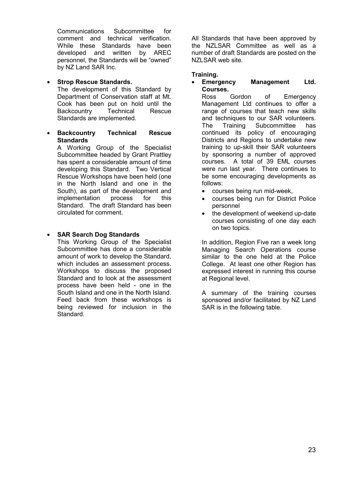Communications Subcommittee for comment and technical verification. While these Standards have been developed and written by AREC personnel, the Standards will be "owned" by NZ Land SAR Inc.

# • **Strop Rescue Standards.**

The development of this Standard by Department of Conservation staff at Mt. Cook has been put on hold until the Backcountry Technical Rescue Standards are implemented.

• **Backcountry Technical Rescue Standards**

A Working Group of the Specialist Subcommittee headed by Grant Prattley has spent a considerable amount of time developing this Standard. Two Vertical Rescue Workshops have been held (one in the North Island and one in the South), as part of the development and implementation process for this Standard. The draft Standard has been circulated for comment.

# • **SAR Search Dog Standards**

This Working Group of the Specialist Subcommittee has done a considerable amount of work to develop the Standard, which includes an assessment process. Workshops to discuss the proposed Standard and to look at the assessment process have been held - one in the South Island and one in the North Island. Feed back from these workshops is being reviewed for inclusion in the Standard.

All Standards that have been approved by the NZLSAR Committee as well as a number of draft Standards are posted on the NZLSAR web site.

# **Training.**

• **Emergency Management Ltd. Courses.** 

Ross Gordon of Emergency Management Ltd continues to offer a range of courses that teach new skills and techniques to our SAR volunteers.<br>The Training Subcommittee has The Training Subcommittee has continued its policy of encouraging Districts and Regions to undertake new training to up-skill their SAR volunteers by sponsoring a number of approved courses. A total of 39 EML courses were run last year. There continues to be some encouraging developments as follows:

- courses being run mid-week,
- courses being run for District Police personnel
- the development of weekend up-date courses consisting of one day each on two topics.

In addition, Region Five ran a week long Managing Search Operations course similar to the one held at the Police College. At least one other Region has expressed interest in running this course at Regional level.

A summary of the training courses sponsored and/or facilitated by NZ Land SAR is in the following table.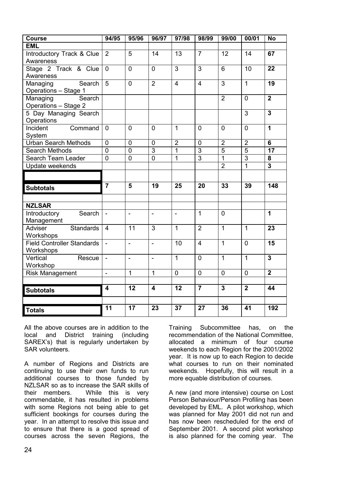| <b>Course</b>                              | 94/95                    | 95/96          | 96/97                            | 97/98          | 98/99                            | 99/00                            | 00/01                            | <b>No</b>               |
|--------------------------------------------|--------------------------|----------------|----------------------------------|----------------|----------------------------------|----------------------------------|----------------------------------|-------------------------|
| <b>EML</b>                                 |                          |                |                                  |                |                                  |                                  |                                  |                         |
| Introductory Track & Clue                  | 2                        | 5              | 14                               | 13             | $\overline{7}$                   | 12                               | 14                               | 67                      |
| Awareness                                  |                          |                |                                  |                |                                  |                                  |                                  |                         |
| Stage 2 Track & Clue                       | $\mathbf 0$              | $\overline{0}$ | $\overline{0}$                   | 3              | 3                                | 6                                | 10                               | 22                      |
| Awareness                                  |                          |                |                                  |                |                                  |                                  |                                  |                         |
| Search<br>Managing<br>Operations - Stage 1 | 5                        | $\overline{0}$ | $\overline{2}$                   | $\overline{4}$ | $\overline{4}$                   | 3                                | $\mathbf{1}$                     | 19                      |
| Managing<br>Search                         |                          |                |                                  |                |                                  | $\overline{2}$                   | $\overline{0}$                   | $\overline{\mathbf{2}}$ |
| Operations - Stage 2                       |                          |                |                                  |                |                                  |                                  |                                  |                         |
| 5 Day Managing Search                      |                          |                |                                  |                |                                  |                                  | $\overline{3}$                   | $\overline{\mathbf{3}}$ |
| Operations                                 |                          |                |                                  |                |                                  |                                  |                                  |                         |
| Incident<br>Command                        | $\mathbf 0$              | 0              | $\mathbf 0$                      | $\mathbf{1}$   | $\mathbf 0$                      | $\overline{0}$                   | $\Omega$                         | $\overline{1}$          |
| System                                     |                          |                |                                  |                |                                  |                                  |                                  |                         |
| <b>Urban Search Methods</b>                | $\overline{0}$           | $\overline{0}$ | $\overline{0}$<br>$\overline{3}$ | $\overline{2}$ | $\overline{0}$<br>$\overline{3}$ | $\overline{2}$<br>$\overline{5}$ | $\overline{2}$<br>$\overline{5}$ | $6\phantom{1}$          |
| <b>Search Methods</b>                      | $\overline{0}$           | $\overline{0}$ | $\overline{0}$                   | $\mathbf{1}$   | $\overline{3}$                   | $\overline{1}$                   | $\overline{3}$                   | $\overline{17}$<br>8    |
| Search Team Leader                         | $\overline{0}$           | $\mathbf 0$    |                                  | $\overline{1}$ |                                  | $\overline{2}$                   | $\overline{1}$                   | $\overline{\mathbf{3}}$ |
| Update weekends                            |                          |                |                                  |                |                                  |                                  |                                  |                         |
|                                            |                          |                |                                  |                |                                  |                                  |                                  |                         |
| <b>Subtotals</b>                           | $\overline{7}$           | 5              | 19                               | 25             | 20                               | 33                               | 39                               | 148                     |
|                                            |                          |                |                                  |                |                                  |                                  |                                  |                         |
| <b>NZLSAR</b>                              |                          |                |                                  |                |                                  |                                  |                                  |                         |
| Introductory<br>Search<br>Management       | $\blacksquare$           | $\blacksquare$ | $\blacksquare$                   | $\blacksquare$ | $\mathbf{1}$                     | $\mathbf 0$                      |                                  | $\mathbf 1$             |
| Standards<br>Adviser                       | $\overline{4}$           | 11             | 3                                | $\mathbf{1}$   | $\overline{2}$                   | $\mathbf{1}$                     | $\mathbf{1}$                     | 23                      |
| Workshops                                  |                          |                |                                  |                |                                  |                                  |                                  |                         |
| <b>Field Controller Standards</b>          | $\blacksquare$           | $\frac{1}{2}$  | $\blacksquare$                   | 10             | $\overline{4}$                   | $\mathbf{1}$                     | $\overline{0}$                   | 15                      |
| Workshops                                  |                          |                |                                  |                |                                  |                                  |                                  |                         |
| Vertical<br>Rescue                         | $\overline{\phantom{a}}$ | $\overline{a}$ | ÷,                               | $\mathbf{1}$   | $\overline{0}$                   | $\mathbf{1}$                     | $\mathbf{1}$                     | $\overline{3}$          |
| Workshop                                   |                          |                |                                  |                |                                  |                                  |                                  |                         |
| <b>Risk Management</b>                     | $\blacksquare$           | $\mathbf{1}$   | 1                                | $\mathbf 0$    | $\mathbf 0$                      | $\mathbf 0$                      | $\mathbf 0$                      | $\overline{\mathbf{2}}$ |
|                                            |                          |                |                                  |                |                                  |                                  |                                  |                         |
| <b>Subtotals</b>                           | $\overline{\mathbf{4}}$  | 12             | $\overline{\mathbf{4}}$          | 12             | $\overline{7}$                   | $\overline{3}$                   | $\overline{2}$                   | 44                      |
|                                            |                          |                |                                  |                |                                  |                                  |                                  |                         |
| <b>Totals</b>                              | 11                       | 17             | 23                               | 37             | 27                               | 36                               | 41                               | 192                     |

All the above courses are in addition to the local and District training (including SAREX's) that is regularly undertaken by SAR volunteers.

A number of Regions and Districts are continuing to use their own funds to run additional courses to those funded by NZLSAR so as to increase the SAR skills of their members. While this is very commendable, it has resulted in problems with some Regions not being able to get sufficient bookings for courses during the year. In an attempt to resolve this issue and to ensure that there is a good spread of courses across the seven Regions, the Training Subcommittee has, on the recommendation of the National Committee, allocated a minimum of four course weekends to each Region for the 2001/2002 year. It is now up to each Region to decide what courses to run on their nominated weekends. Hopefully, this will result in a more equable distribution of courses.

A new (and more intensive) course on Lost Person Behaviour/Person Profiling has been developed by EML. A pilot workshop, which was planned for May 2001 did not run and has now been rescheduled for the end of September 2001. A second pilot workshop is also planned for the coming year. The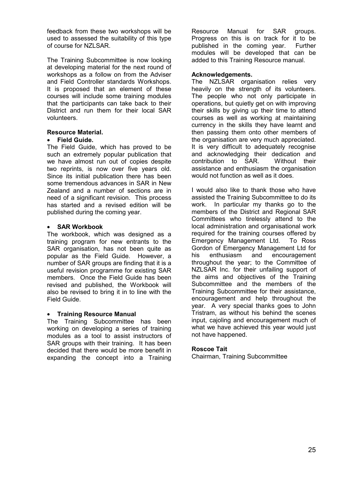feedback from these two workshops will be used to assessed the suitability of this type of course for NZLSAR.

The Training Subcommittee is now looking at developing material for the next round of workshops as a follow on from the Adviser and Field Controller standards Workshops. It is proposed that an element of these courses will include some training modules that the participants can take back to their District and run them for their local SAR volunteers.

# **Resource Material.**

# • **Field Guide.**

The Field Guide, which has proved to be such an extremely popular publication that we have almost run out of copies despite two reprints, is now over five years old. Since its initial publication there has been some tremendous advances in SAR in New Zealand and a number of sections are in need of a significant revision. This process has started and a revised edition will be published during the coming year.

# • **SAR Workbook**

The workbook, which was designed as a training program for new entrants to the SAR organisation, has not been quite as popular as the Field Guide. However, a number of SAR groups are finding that it is a useful revision programme for existing SAR members. Once the Field Guide has been revised and published, the Workbook will also be revised to bring it in to line with the Field Guide.

# • **Training Resource Manual**

The Training Subcommittee has been working on developing a series of training modules as a tool to assist instructors of SAR groups with their training. It has been decided that there would be more benefit in expanding the concept into a Training

Resource Manual for SAR groups. Progress on this is on track for it to be published in the coming year. Further modules will be developed that can be added to this Training Resource manual.

# **Acknowledgements.**

The NZLSAR organisation relies very heavily on the strength of its volunteers. The people who not only participate in operations, but quietly get on with improving their skills by giving up their time to attend courses as well as working at maintaining currency in the skills they have learnt and then passing them onto other members of the organisation are very much appreciated. It is very difficult to adequately recognise and acknowledging their dedication and contribution to SAR. Without their assistance and enthusiasm the organisation would not function as well as it does.

I would also like to thank those who have assisted the Training Subcommittee to do its work. In particular my thanks go to the members of the District and Regional SAR Committees who tirelessly attend to the local administration and organisational work required for the training courses offered by Emergency Management Ltd. To Ross Gordon of Emergency Management Ltd for his enthusiasm and encouragement throughout the year; to the Committee of NZLSAR Inc. for their unfailing support of the aims and objectives of the Training Subcommittee and the members of the Training Subcommittee for their assistance, encouragement and help throughout the year. A very special thanks goes to John Tristram, as without his behind the scenes input, cajoling and encouragement much of what we have achieved this year would just not have happened.

# **Roscoe Tait**

Chairman, Training Subcommittee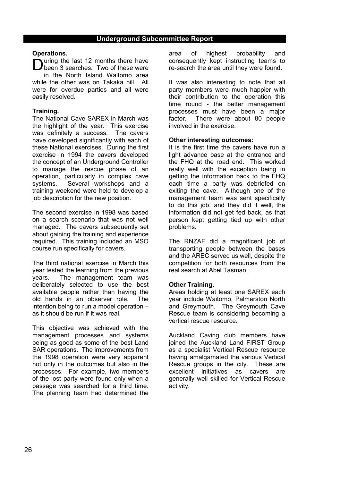#### **Operations.**

During the last 12 months there have<br>
Dbeen 3 searches. Two of these were been 3 searches. Two of these were in the North Island Waitomo area while the other was on Takaka hill. All were for overdue parties and all were easily resolved.

# **Training.**

The National Cave SAREX in March was the highlight of the year. This exercise was definitely a success. The cavers have developed significantly with each of these National exercises. During the first exercise in 1994 the cavers developed the concept of an Underground Controller to manage the rescue phase of an operation, particularly in complex cave systems. Several workshops and a training weekend were held to develop a job description for the new position.

The second exercise in 1998 was based on a search scenario that was not well managed. The cavers subsequently set about gaining the training and experience required. This training included an MSO course run specifically for cavers.

The third national exercise in March this year tested the learning from the previous years. The management team was deliberately selected to use the best available people rather than having the old hands in an observer role. The intention being to run a model operation – as it should be run if it was real.

This objective was achieved with the management processes and systems being as good as some of the best Land SAR operations. The improvements from the 1998 operation were very apparent not only in the outcomes but also in the processes. For example, two members of the lost party were found only when a passage was searched for a third time. The planning team had determined the

area of highest probability and consequently kept instructing teams to re-search the area until they were found.

It was also interesting to note that all party members were much happier with their contribution to the operation this time round - the better management processes must have been a major factor. There were about 80 people involved in the exercise.

#### **Other interesting outcomes:**

It is the first time the cavers have run a light advance base at the entrance and the FHQ at the road end. This worked really well with the exception being in getting the information back to the FHQ each time a party was debriefed on exiting the cave. Although one of the management team was sent specifically to do this job, and they did it well, the information did not get fed back, as that person kept getting tied up with other problems.

The RNZAF did a magnificent job of transporting people between the bases and the AREC served us well, despite the competition for both resources from the real search at Abel Tasman.

# **Other Training.**

Areas holding at least one SAREX each year include Waitomo, Palmerston North and Greymouth. The Greymouth Cave Rescue team is considering becoming a vertical rescue resource.

Auckland Caving club members have joined the Auckland Land FIRST Group as a specialist Vertical Rescue resource having amalgamated the various Vertical Rescue groups in the city. These are excellent initiatives as cavers are generally well skilled for Vertical Rescue activity.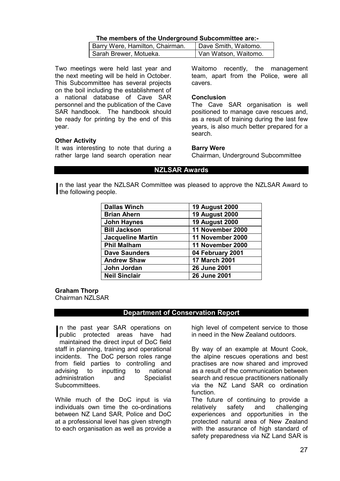# **The members of the Underground Subcommittee are:-**

| Barry Were, Hamilton, Chairman. | Dave Smith, Waitomo. |
|---------------------------------|----------------------|
| Sarah Brewer, Motueka.          | Van Watson, Waitomo. |

Two meetings were held last year and the next meeting will be held in October. This Subcommittee has several projects on the boil including the establishment of a national database of Cave SAR personnel and the publication of the Cave SAR handbook. The handbook should be ready for printing by the end of this year.

#### **Other Activity**

It was interesting to note that during a rather large land search operation near Waitomo recently, the management team, apart from the Police, were all cavers.

#### **Conclusion**

The Cave SAR organisation is well positioned to manage cave rescues and, as a result of training during the last few years, is also much better prepared for a search.

#### **Barry Were**

Chairman, Underground Subcommittee

# **NZLSAR Awards**

n the last year the NZLSAR Committee was pleased to approve the NZLSAR Award to In the last year the N<br>the following people.

| <b>Dallas Winch</b>      | <b>19 August 2000</b> |
|--------------------------|-----------------------|
| <b>Brian Ahern</b>       | <b>19 August 2000</b> |
| <b>John Haynes</b>       | <b>19 August 2000</b> |
| <b>Bill Jackson</b>      | 11 November 2000      |
| <b>Jacqueline Martin</b> | 11 November 2000      |
| <b>Phil Malham</b>       | 11 November 2000      |
| <b>Dave Saunders</b>     | 04 February 2001      |
| <b>Andrew Shaw</b>       | <b>17 March 2001</b>  |
| John Jordan              | 26 June 2001          |
| <b>Neil Sinclair</b>     | 26 June 2001          |

**Graham Thorp**  Chairman NZLSAR

# **Department of Conservation Report**

n the past year SAR operations on In the past year SAR operations on<br>public protected areas have had maintained the direct input of DoC field staff in planning, training and operational incidents. The DoC person roles range from field parties to controlling and advising to inputting to national administration and Specialist Subcommittees.

While much of the DoC input is via individuals own time the co-ordinations between NZ Land SAR, Police and DoC at a professional level has given strength to each organisation as well as provide a

high level of competent service to those in need in the New Zealand outdoors.

By way of an example at Mount Cook, the alpine rescues operations and best practises are now shared and improved as a result of the communication between search and rescue practitioners nationally via the NZ Land SAR co ordination function.

The future of continuing to provide a relatively safety and challenging experiences and opportunities in the protected natural area of New Zealand with the assurance of high standard of safety preparedness via NZ Land SAR is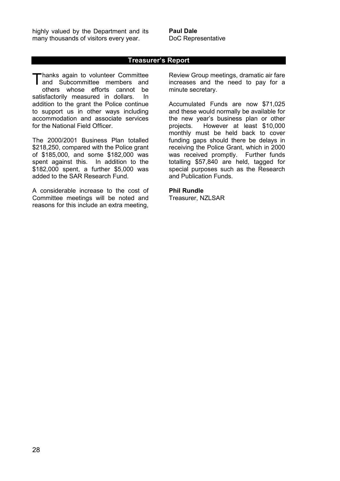highly valued by the Department and its many thousands of visitors every year.

**Paul Dale**  DoC Representative

# **Treasurer's Report**

Thanks again to volunteer Committee<br>and Subcommittee members and and Subcommittee members and others whose efforts cannot be satisfactorily measured in dollars. In addition to the grant the Police continue to support us in other ways including accommodation and associate services for the National Field Officer.

The 2000/2001 Business Plan totalled \$218,250, compared with the Police grant of \$185,000, and some \$182,000 was spent against this. In addition to the \$182,000 spent, a further \$5,000 was added to the SAR Research Fund.

A considerable increase to the cost of Committee meetings will be noted and reasons for this include an extra meeting,

Review Group meetings, dramatic air fare increases and the need to pay for a minute secretary.

Accumulated Funds are now \$71,025 and these would normally be available for the new year's business plan or other projects. However at least \$10,000 monthly must be held back to cover funding gaps should there be delays in receiving the Police Grant, which in 2000 was received promptly. Further funds totalling \$57,840 are held, tagged for special purposes such as the Research and Publication Funds.

#### **Phil Rundle**

Treasurer, NZLSAR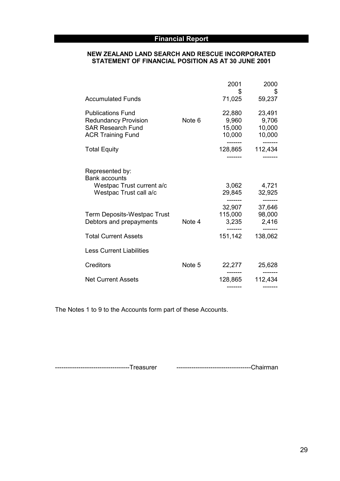# **Financial Report**

# **NEW ZEALAND LAND SEARCH AND RESCUE INCORPORATED STATEMENT OF FINANCIAL POSITION AS AT 30 JUNE 2001**

|                                                                                                                 |        | 2001                                | 2000                                |
|-----------------------------------------------------------------------------------------------------------------|--------|-------------------------------------|-------------------------------------|
| <b>Accumulated Funds</b>                                                                                        |        | \$<br>71,025                        | \$<br>59,237                        |
| <b>Publications Fund</b><br><b>Redundancy Provision</b><br><b>SAR Research Fund</b><br><b>ACR Training Fund</b> | Note 6 | 22,880<br>9,960<br>15,000<br>10,000 | 23,491<br>9,706<br>10,000<br>10,000 |
| <b>Total Equity</b>                                                                                             |        | 128,865                             | 112,434                             |
| Represented by:<br><b>Bank accounts</b><br>Westpac Trust current a/c<br>Westpac Trust call a/c                  |        | 3,062<br>29,845                     | 4,721<br>32,925                     |
| Term Deposits-Westpac Trust<br>Debtors and prepayments                                                          | Note 4 | 32,907<br>115,000<br>3,235          | 37,646<br>98,000<br>2,416           |
| <b>Total Current Assets</b>                                                                                     |        | 151,142                             | 138,062                             |
| <b>Less Current Liabilities</b>                                                                                 |        |                                     |                                     |
| Creditors                                                                                                       | Note 5 | 22,277                              | 25,628                              |
| <b>Net Current Assets</b>                                                                                       |        | 128,865                             | 112,434                             |

The Notes 1 to 9 to the Accounts form part of these Accounts.

-----------------------------------Treasurer -----------------------------------Chairman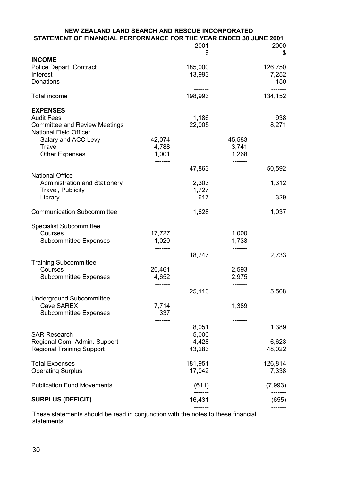| <b>NEW ZEALAND LAND SEARCH AND RESCUE INCORPORATED</b><br>STATEMENT OF FINANCIAL PERFORMANCE FOR THE YEAR ENDED 30 JUNE 2001                                            |                          |                                     |                          |                        |
|-------------------------------------------------------------------------------------------------------------------------------------------------------------------------|--------------------------|-------------------------------------|--------------------------|------------------------|
|                                                                                                                                                                         |                          | 2001                                |                          | 2000                   |
| <b>INCOME</b><br>Police Depart. Contract<br>Interest                                                                                                                    |                          | \$<br>185,000<br>13,993             |                          | \$<br>126,750<br>7,252 |
| Donations                                                                                                                                                               |                          |                                     |                          | 150                    |
| <b>Total income</b>                                                                                                                                                     |                          | 198,993                             |                          | 134,152                |
| <b>EXPENSES</b><br><b>Audit Fees</b><br><b>Committee and Review Meetings</b><br><b>National Field Officer</b><br>Salary and ACC Levy<br>Travel<br><b>Other Expenses</b> | 42,074<br>4,788<br>1,001 | 1,186<br>22,005                     | 45,583<br>3,741<br>1,268 | 938<br>8,271           |
|                                                                                                                                                                         | -------                  | 47,863                              | -------                  | 50,592                 |
| <b>National Office</b><br><b>Administration and Stationery</b>                                                                                                          |                          | 2,303                               |                          | 1,312                  |
| Travel, Publicity<br>Library                                                                                                                                            |                          | 1,727<br>617                        |                          | 329                    |
| <b>Communication Subcommittee</b>                                                                                                                                       |                          | 1,628                               |                          | 1,037                  |
| <b>Specialist Subcommittee</b><br>Courses<br><b>Subcommittee Expenses</b>                                                                                               | 17,727<br>1,020          |                                     | 1,000<br>1,733           |                        |
| <b>Training Subcommittee</b>                                                                                                                                            |                          | 18,747                              |                          | 2,733                  |
| Courses<br><b>Subcommittee Expenses</b>                                                                                                                                 | 20,461<br>4,652          |                                     | 2,593<br>2,975           |                        |
|                                                                                                                                                                         |                          | 25,113                              |                          | 5,568                  |
| <b>Underground Subcommittee</b><br><b>Cave SAREX</b><br><b>Subcommittee Expenses</b>                                                                                    | 7,714<br>337             |                                     | 1,389                    |                        |
|                                                                                                                                                                         |                          | 8,051                               |                          | 1,389                  |
| <b>SAR Research</b><br>Regional Com. Admin. Support<br><b>Regional Training Support</b>                                                                                 |                          | 5,000<br>4,428<br>43,283<br>------- |                          | 6,623<br>48,022        |
| <b>Total Expenses</b><br><b>Operating Surplus</b>                                                                                                                       |                          | 181,951<br>17,042                   |                          | 126,814<br>7,338       |
| <b>Publication Fund Movements</b>                                                                                                                                       |                          | (611)                               |                          | (7,993)                |
| <b>SURPLUS (DEFICIT)</b>                                                                                                                                                |                          | 16,431                              |                          | (655)                  |
|                                                                                                                                                                         |                          |                                     |                          |                        |

These statements should be read in conjunction with the notes to these financial statements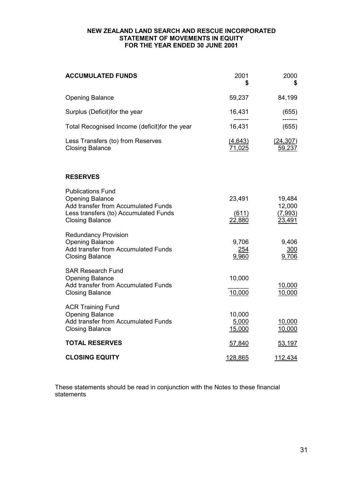#### **NEW ZEALAND LAND SEARCH AND RESCUE INCORPORATED STATEMENT OF MOVEMENTS IN EQUITY FOR THE YEAR ENDED 30 JUNE 2001**

| <b>ACCUMULATED FUNDS</b>                                                                                                                                     | 2001<br>\$                | 2000<br>\$                            |
|--------------------------------------------------------------------------------------------------------------------------------------------------------------|---------------------------|---------------------------------------|
| <b>Opening Balance</b>                                                                                                                                       | 59,237                    | 84,199                                |
| Surplus (Deficit) for the year                                                                                                                               | 16,431                    | (655)                                 |
| Total Recognised Income (deficit) for the year                                                                                                               | 16,431                    | (655)                                 |
| Less Transfers (to) from Reserves<br><b>Closing Balance</b>                                                                                                  | (4, 643)<br>71,025        | (24, 307)<br>59,237                   |
| <b>RESERVES</b>                                                                                                                                              |                           |                                       |
| <b>Publications Fund</b><br><b>Opening Balance</b><br>Add transfer from Accumulated Funds<br>Less transfers (to) Accumulated Funds<br><b>Closing Balance</b> | 23,491<br>(611)<br>22,880 | 19,484<br>12,000<br>(7,993)<br>23,491 |
| <b>Redundancy Provision</b><br><b>Opening Balance</b><br>Add transfer from Accumulated Funds<br><b>Closing Balance</b>                                       | 9,706<br>254<br>9,960     | 9,406<br>300<br>9,706                 |
| <b>SAR Research Fund</b><br><b>Opening Balance</b><br>Add transfer from Accumulated Funds<br><b>Closing Balance</b>                                          | 10,000<br>10,000          | 10,000<br>10,000                      |
| <b>ACR Training Fund</b><br><b>Opening Balance</b><br>Add transfer from Accumulated Funds<br><b>Closing Balance</b>                                          | 10,000<br>5,000<br>15,000 | 10,000<br>10,000                      |
| <b>TOTAL RESERVES</b>                                                                                                                                        | 57,840                    | 53,197                                |
| <b>CLOSING EQUITY</b>                                                                                                                                        | 128,865                   | 112,434                               |

These statements should be read in conjunction with the Notes to these financial statements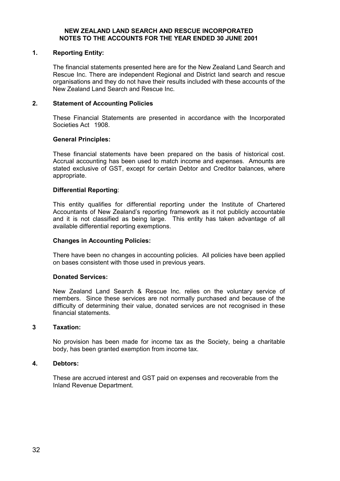#### **NEW ZEALAND LAND SEARCH AND RESCUE INCORPORATED NOTES TO THE ACCOUNTS FOR THE YEAR ENDED 30 JUNE 2001**

## **1. Reporting Entity:**

The financial statements presented here are for the New Zealand Land Search and Rescue Inc. There are independent Regional and District land search and rescue organisations and they do not have their results included with these accounts of the New Zealand Land Search and Rescue Inc.

#### **2. Statement of Accounting Policies**

These Financial Statements are presented in accordance with the Incorporated Societies Act 1908.

#### **General Principles:**

These financial statements have been prepared on the basis of historical cost. Accrual accounting has been used to match income and expenses. Amounts are stated exclusive of GST, except for certain Debtor and Creditor balances, where appropriate.

#### **Differential Reporting**:

This entity qualifies for differential reporting under the Institute of Chartered Accountants of New Zealand's reporting framework as it not publicly accountable and it is not classified as being large. This entity has taken advantage of all available differential reporting exemptions.

#### **Changes in Accounting Policies:**

There have been no changes in accounting policies. All policies have been applied on bases consistent with those used in previous years.

#### **Donated Services:**

New Zealand Land Search & Rescue Inc. relies on the voluntary service of members. Since these services are not normally purchased and because of the difficulty of determining their value, donated services are not recognised in these financial statements.

#### **3 Taxation:**

No provision has been made for income tax as the Society, being a charitable body, has been granted exemption from income tax.

#### **4. Debtors:**

These are accrued interest and GST paid on expenses and recoverable from the Inland Revenue Department.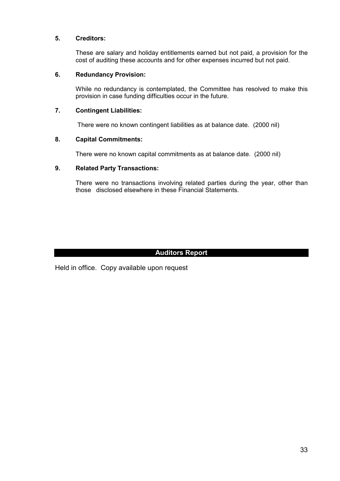# **5. Creditors:**

These are salary and holiday entitlements earned but not paid, a provision for the cost of auditing these accounts and for other expenses incurred but not paid.

# **6. Redundancy Provision:**

While no redundancy is contemplated, the Committee has resolved to make this provision in case funding difficulties occur in the future.

# **7. Contingent Liabilities:**

There were no known contingent liabilities as at balance date. (2000 nil)

# **8. Capital Commitments:**

There were no known capital commitments as at balance date. (2000 nil)

# **9. Related Party Transactions:**

There were no transactions involving related parties during the year, other than those disclosed elsewhere in these Financial Statements.

# **Auditors Report**

Held in office. Copy available upon request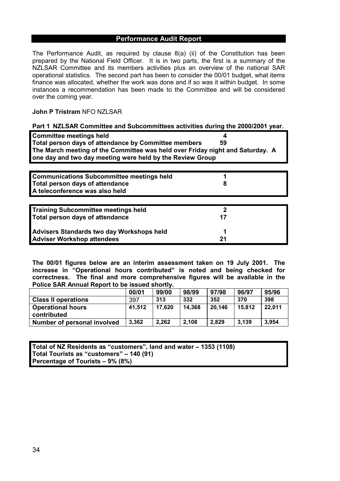# **Performance Audit Report**

The Performance Audit, as required by clause 8(a) (ii) of the Constitution has been prepared by the National Field Officer. It is in two parts, the first is a summary of the NZLSAR Committee and its members activities plus an overview of the national SAR operational statistics. The second part has been to consider the 00/01 budget, what items finance was allocated, whether the work was done and if so was it within budget. In some instances a recommendation has been made to the Committee and will be considered over the coming year.

# **John P Tristram** NFO NZLSAR

| Part 1 NZLSAR Committee and Subcommittees activities during the 2000/2001 year.                                                                                                                                                      |         |
|--------------------------------------------------------------------------------------------------------------------------------------------------------------------------------------------------------------------------------------|---------|
| <b>Committee meetings held</b><br>Total person days of attendance by Committee members<br>The March meeting of the Committee was held over Friday night and Saturday. A<br>one day and two day meeting were held by the Review Group | 59      |
| <b>Communications Subcommittee meetings held</b><br>Total person days of attendance<br>A teleconference was also held                                                                                                                | 8       |
| <b>Training Subcommittee meetings held</b><br>Total person days of attendance                                                                                                                                                        | 2<br>17 |
| <b>Advisers Standards two day Workshops held</b><br><b>Adviser Workshop attendees</b>                                                                                                                                                | 1<br>21 |

**The 00/01 figures below are an interim assessment taken on 19 July 2001. The increase in "Operational hours contributed" is noted and being checked for correctness. The final and more comprehensive figures will be available in the Police SAR Annual Report to be issued shortly.** 

|                             | 00/01  | 99/00  | 98/99  | 97/98  | 96/97  | 95/96  |
|-----------------------------|--------|--------|--------|--------|--------|--------|
| <b>Class II operations</b>  | 397    | 313    | 332    | 352    | 370    | 398    |
| <b>Operational hours</b>    | 41,512 | 17,620 | 14,368 | 20,146 | 15,812 | 22,011 |
| contributed                 |        |        |        |        |        |        |
| Number of personal involved | 3,362  | 2,262  | 2,108  | 2,829  | 3,139  | 3,954  |

**Total of NZ Residents as "customers", land and water – 1353 (1108) Total Tourists as "customers" – 140 (91) Percentage of Tourists – 9% (8%)**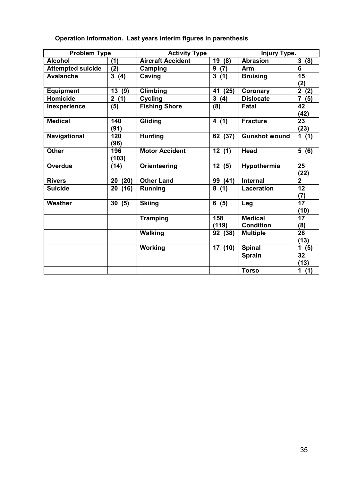| Operation information. Last years interim figures in parenthesis |
|------------------------------------------------------------------|
|                                                                  |

| <b>Problem Type</b>      |                                | <b>Activity Type</b>     |                     | Injury Type.         |                         |
|--------------------------|--------------------------------|--------------------------|---------------------|----------------------|-------------------------|
| <b>Alcohol</b>           | (1)                            | <b>Aircraft Accident</b> | 19<br>(8)           | <b>Abrasion</b>      | 3<br>(8)                |
| <b>Attempted suicide</b> | (2)                            | Camping                  | (7)<br>9            | Arm                  | 6                       |
| <b>Avalanche</b>         | $\mathbf{3}$<br>(4)            | Caving                   | $\mathbf{3}$<br>(1) | <b>Bruising</b>      | 15                      |
|                          |                                |                          |                     |                      | (2)                     |
| <b>Equipment</b>         | 13<br>(9)                      | <b>Climbing</b>          | (25)<br>41          | Coronary             | $\overline{2}$<br>(2)   |
| <b>Homicide</b>          | $\overline{\mathbf{2}}$<br>(1) | <b>Cycling</b>           | $\mathbf{3}$<br>(4) | <b>Dislocate</b>     | $\overline{7}$<br>(5)   |
| Inexperience             | (5)                            | <b>Fishing Shore</b>     | (8)                 | <b>Fatal</b>         | 42<br>(42)              |
| <b>Medical</b>           | 140                            | Gliding                  | 4(1)                | <b>Fracture</b>      | 23                      |
|                          | (91)                           |                          |                     |                      | (23)                    |
| Navigational             | 120<br>(96)                    | <b>Hunting</b>           | 62 (37)             | <b>Gunshot wound</b> | 1 $(1)$                 |
| <b>Other</b>             | 196<br>(103)                   | <b>Motor Accident</b>    | 12(1)               | <b>Head</b>          | 5(6)                    |
| <b>Overdue</b>           | (14)                           | Orienteering             | 12(5)               | Hypothermia          | 25<br>(22)              |
| <b>Rivers</b>            | (20)<br>20                     | <b>Other Land</b>        | 99<br>(41)          | <b>Internal</b>      | $\overline{2}$          |
| <b>Suicide</b>           | (16)<br>20                     | <b>Running</b>           | 8(1)                | <b>Laceration</b>    | 12<br>(7)               |
| Weather                  | 30(5)                          | <b>Skiing</b>            | 6(5)                | Leg                  | $\overline{17}$<br>(10) |
|                          |                                | <b>Tramping</b>          | 158                 | <b>Medical</b>       | 17                      |
|                          |                                |                          | (119)               | <b>Condition</b>     | (8)                     |
|                          |                                | <b>Walking</b>           | 92 (38)             | <b>Multiple</b>      | 28<br>(13)              |
|                          |                                | Working                  | 17 (10)             | <b>Spinal</b>        | 1<br>(5)                |
|                          |                                |                          |                     | <b>Sprain</b>        | 32                      |
|                          |                                |                          |                     |                      | (13)                    |
|                          |                                |                          |                     | <b>Torso</b>         | 1(1)                    |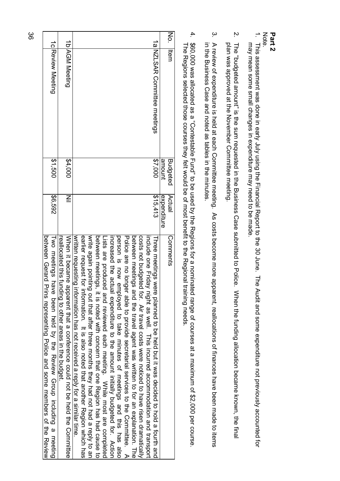|                                                                     |                                                                                                                                     |                                                                                                                                                                                                                                                                                                                                                                                                                                                                                                                                                                                                                                                                                                                                                                                                                                                                                                                                                                                                                                         | Šρ                         | 4                                                                                                                                                                                                                                                                                                                                                                                          | $\omega$                                                                                                               | Ņ                                                                                                                                            | Part <sub>2</sub><br>Note.                                                                                                                          |
|---------------------------------------------------------------------|-------------------------------------------------------------------------------------------------------------------------------------|-----------------------------------------------------------------------------------------------------------------------------------------------------------------------------------------------------------------------------------------------------------------------------------------------------------------------------------------------------------------------------------------------------------------------------------------------------------------------------------------------------------------------------------------------------------------------------------------------------------------------------------------------------------------------------------------------------------------------------------------------------------------------------------------------------------------------------------------------------------------------------------------------------------------------------------------------------------------------------------------------------------------------------------------|----------------------------|--------------------------------------------------------------------------------------------------------------------------------------------------------------------------------------------------------------------------------------------------------------------------------------------------------------------------------------------------------------------------------------------|------------------------------------------------------------------------------------------------------------------------|----------------------------------------------------------------------------------------------------------------------------------------------|-----------------------------------------------------------------------------------------------------------------------------------------------------|
|                                                                     | <b>1b AGM Meeting</b>                                                                                                               | 1a NZLSAR Committee meetings                                                                                                                                                                                                                                                                                                                                                                                                                                                                                                                                                                                                                                                                                                                                                                                                                                                                                                                                                                                                            | <b>Ittem</b>               | 860,000 was allocated as a "Contestable Fund" to be used by the Regions for a nominat<br>$\Delta$ becomes a produced through a from to the state sequence of $\Delta$ and $\Delta$ from $\Delta$ from $\Delta$ from $\Delta$ from $\Delta$ from $\Delta$ from $\Delta$ from $\Delta$ from $\Delta$ from $\Delta$ from $\Delta$ from $\Delta$ from $\Delta$ from $\Delta$ from $\Delta$ fro | A review of expenditure is held at each Committee meeting.<br>in the Business Case and noted as tables in the minutes. | The "budgeted amount" is the sum requested in the Business Case submitted to Police.<br>plan was approved at the November Committee meeting. | This assessment was done in early July using the Financial Report to the 30 June.<br>may mean some small changes in expenditure may need to be made |
| \$1,500                                                             | \$4,000                                                                                                                             | \$7,000                                                                                                                                                                                                                                                                                                                                                                                                                                                                                                                                                                                                                                                                                                                                                                                                                                                                                                                                                                                                                                 | annount<br><b>Budgeted</b> |                                                                                                                                                                                                                                                                                                                                                                                            |                                                                                                                        |                                                                                                                                              |                                                                                                                                                     |
| \$6,592                                                             | $\leq$                                                                                                                              | \$15,413                                                                                                                                                                                                                                                                                                                                                                                                                                                                                                                                                                                                                                                                                                                                                                                                                                                                                                                                                                                                                                | Actual<br>expenditure      |                                                                                                                                                                                                                                                                                                                                                                                            |                                                                                                                        |                                                                                                                                              |                                                                                                                                                     |
| Two meetings have been held by the Review Group including a meeting | When it became apparent that a conference could not be held the Committee<br>reallocated this funding to other areas in the budget. | write again pointing out that after three months they had not had a reply to an<br>written requesting information has not received a reply for a similar time<br>earlier request for<br>between meetings.<br>person is now employed to take minutes of meetings and this has also<br>Police are no longer able to provide secretarial services to the Committee. A<br>between meetings<br>costs not producted tor. Pir travel costs were noticed to have risen a ranger and the product on the section<br>increased the actual expenditure to the amount initially budgeted for. Action<br>include one Friday<br>Lists are produce<br>Three meetings were planned to be held but it was decided to hold a fourth and<br>intormation. It is also noted that another Region varior has<br>d and reviewed each meeting. While most are completed<br>, it is noted with concern that one Region has had cause to<br>and the travel agent was written to for an explanation. The<br>night as well. This incurred accommodation and transport | Comments                   | ted range of courses at a maximum of \$2,000 per course.                                                                                                                                                                                                                                                                                                                                   | As costs become more apparent, reallocations of finances have been made to items                                       | When the funding allocation became known, the final                                                                                          | Audit and some expenditure not previously accounted for                                                                                             |

36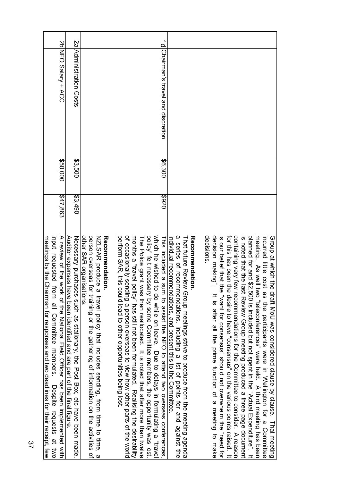|                                                                                                                                                                                                                                          | <u>sa</u>                                                                                                                                          |                                                                                                                                                                                                                            | $\overline{\Omega}$                                                                                                                                                                                                                                                                                                                                                                                                                                                                                                                                                  |                                                                                                                                                                                                                                                         |                                                                                                                                                                                                                                                                                                                                                                                                                                                                                                                                                                                                                                                                                                                                                                    |
|------------------------------------------------------------------------------------------------------------------------------------------------------------------------------------------------------------------------------------------|----------------------------------------------------------------------------------------------------------------------------------------------------|----------------------------------------------------------------------------------------------------------------------------------------------------------------------------------------------------------------------------|----------------------------------------------------------------------------------------------------------------------------------------------------------------------------------------------------------------------------------------------------------------------------------------------------------------------------------------------------------------------------------------------------------------------------------------------------------------------------------------------------------------------------------------------------------------------|---------------------------------------------------------------------------------------------------------------------------------------------------------------------------------------------------------------------------------------------------------|--------------------------------------------------------------------------------------------------------------------------------------------------------------------------------------------------------------------------------------------------------------------------------------------------------------------------------------------------------------------------------------------------------------------------------------------------------------------------------------------------------------------------------------------------------------------------------------------------------------------------------------------------------------------------------------------------------------------------------------------------------------------|
| 2b NFO Salary + ACC                                                                                                                                                                                                                      | Administration Costs                                                                                                                               |                                                                                                                                                                                                                            | Chairman's travel and discretion                                                                                                                                                                                                                                                                                                                                                                                                                                                                                                                                     |                                                                                                                                                                                                                                                         |                                                                                                                                                                                                                                                                                                                                                                                                                                                                                                                                                                                                                                                                                                                                                                    |
| \$50,000                                                                                                                                                                                                                                 | \$3,500                                                                                                                                            |                                                                                                                                                                                                                            | \$6,300                                                                                                                                                                                                                                                                                                                                                                                                                                                                                                                                                              |                                                                                                                                                                                                                                                         |                                                                                                                                                                                                                                                                                                                                                                                                                                                                                                                                                                                                                                                                                                                                                                    |
| \$47,863                                                                                                                                                                                                                                 | 3,490                                                                                                                                              |                                                                                                                                                                                                                            | 026\$                                                                                                                                                                                                                                                                                                                                                                                                                                                                                                                                                                |                                                                                                                                                                                                                                                         |                                                                                                                                                                                                                                                                                                                                                                                                                                                                                                                                                                                                                                                                                                                                                                    |
| indut reducted trom all Committee membris.<br>A review of the work of the National Field Officer has been implemented with<br>meetings by the Chairman for responses and two deadlines for their receipt, few<br>Despite requests at two | Auditor expenses have been identified and are part of the final figure<br>Necessary purchases such as stationary, the Post Box, etc have been made | other SAR organisations<br>person overseas for training or the gathering of information on the activities of<br>NZLSAR produce<br><b>Recordinanciation.</b><br>a travel policy that includes sending, from time to time, a | of occasionally sending a person overseas to view how other parts of the world<br>perform SAR, this could lead to other opportunities being lost.<br>which he wished to do while on leave. Uue to delays in formulating a "travel<br>policy" felt necessary by some Committee members, the opportunity was lost.<br>months a "travel policy" has still not been formulated. Realising the desirability<br>The Police grant was then reallocated. It is noted that after more than twelve<br>This included a sum to assist the NHO to attend two overseas contenences | a series of recommendations, including a list of points for and against the<br>Reconnendation.<br>ndividual recommendations, and present this to the Committee<br><b>Lhat tuture Review</b><br>Group meetings strive to produce from the meeting agenda | decisions<br>for this has been the desire to have "consensus" on the various points raised. It<br>decision making".<br>containing very teams recommendations for the Committee to consider. A reason<br>planned for and \$2,500 is included but not about in the "Actual Expenditure". It<br>is our belief that the "want for consensus" should not overwhelm the "need for<br>is noted that the last Review Group meeting produced a three page document<br>meeting. As well two "teleconferences" were held. A third meeting has been<br>incurred little cost<br>Group at which the draft MoU was considered clause by clause. That meeting<br>as the participants were in Wellington for a Committee<br>It is after all the prime function of a meeting to make |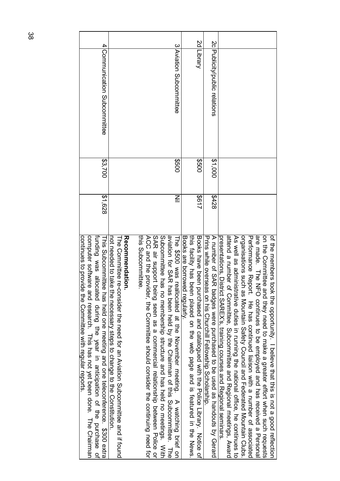| computer software<br>continues to provide the Committee with regular reports.<br>function of the purchase of the of the of the priciplication of the purchase<br>This Subcommittee has held one meeting and one teleconference. \$300 extra<br>and research. This has not yet been done. The Chairman | \$1,628 | \$3,700  | 4 Communication Subcommittee  |  |
|-------------------------------------------------------------------------------------------------------------------------------------------------------------------------------------------------------------------------------------------------------------------------------------------------------|---------|----------|-------------------------------|--|
| <b>JGCOMMendation</b><br>not needed to take<br>The Committee re-consider the need for an Aviation Subcommittee and if found<br>the necessary steps to change to the Constitution                                                                                                                      |         |          |                               |  |
| SAR air support b<br>this Subcommittee<br>ACC and the provider, the Committee should consider the continuing need for<br>eing seen as a commercial relationship between Police or                                                                                                                     |         |          |                               |  |
| Subcommittee has<br>aviation for SAR has been held by the Chairman of this Subcommittee. The<br>no membership structure and has held no meetings. With                                                                                                                                                |         |          |                               |  |
| The \$500 was reallocated at the November meeting. A watching brief on                                                                                                                                                                                                                                | $\leq$  | 009\$    | 3 Aviation Subcommittee       |  |
| Books are borrowed regularly                                                                                                                                                                                                                                                                          |         |          |                               |  |
| ithis tacility has been placed on the web page and is featured in the News,                                                                                                                                                                                                                           |         |          |                               |  |
| Books have peen<br>purchased and catalogued with the Police Library. Notice of                                                                                                                                                                                                                        | 2617    | 009\$    | 2d Library                    |  |
| Prins while overseas on his Churchill Fellowship Scholarship.                                                                                                                                                                                                                                         |         |          |                               |  |
| A numbro of SAR badges were parchased as handouts by Gerard                                                                                                                                                                                                                                           | \$428   | 1\$1,000 | 2clpublicity/public relations |  |
| presentations, Uistrict SAREX's, training courses and Regional seminars                                                                                                                                                                                                                               |         |          |                               |  |
| attend a number of Committee, Subcommittee and Regional meetings, Award                                                                                                                                                                                                                               |         |          |                               |  |
| As well as administrative duries in running the national office, he content to                                                                                                                                                                                                                        |         |          |                               |  |
| organisations such<br>as Mountain Safety Council and Federated Mountain Clubs                                                                                                                                                                                                                         |         |          |                               |  |
| Performance Report. If a has continued liaison with a number of associated                                                                                                                                                                                                                            |         |          |                               |  |
| are made. The NFO continues to be employed and has received a Persona                                                                                                                                                                                                                                 |         |          |                               |  |
| on the Committee<br>and they need to make a greater effort when such requests                                                                                                                                                                                                                         |         |          |                               |  |
| ot the members took the opportunity. I pelieve that this is not a good reflection                                                                                                                                                                                                                     |         |          |                               |  |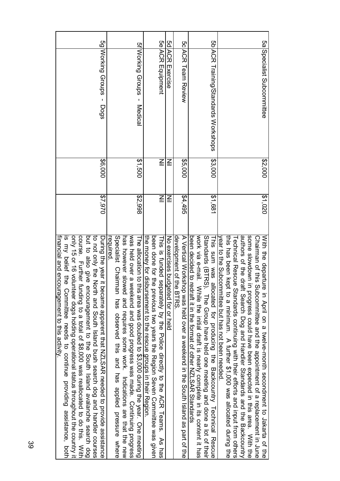| or 15 or 16 volun<br>financial and encouragement to this activity.<br>is my belief the<br>Committee needs to continue providing assistance, both<br>iteer dogs holding operational status throughout the country it |              |              |                                     |  |
|---------------------------------------------------------------------------------------------------------------------------------------------------------------------------------------------------------------------|--------------|--------------|-------------------------------------|--|
| corrise. Further funding to a total of \$8,000 was reallocated to do this. With                                                                                                                                     |              |              |                                     |  |
| but to also give encouragement to the South Island avalanche search dog                                                                                                                                             |              |              |                                     |  |
| to not only the North and South Island bush search dog and handler courses                                                                                                                                          |              |              |                                     |  |
| During the year it became apparent that NZLSAR needed to provide assistance                                                                                                                                         | \$7,970      | \$6,000      | 5g Working Groups - Dogs            |  |
| required                                                                                                                                                                                                            |              |              |                                     |  |
| Specialist Chairman has observed this and has applied pressure where                                                                                                                                                |              |              |                                     |  |
| has however slowed and requires some work. Indications are that the new                                                                                                                                             |              |              |                                     |  |
| was held over a weekend and good progress was made. Continuing progress                                                                                                                                             |              |              |                                     |  |
| The allocation to this area was doubled to \$3,000 during the year. One meeting                                                                                                                                     | \$2,998      | \$1,500      | 5f Working Groups<br>Medical        |  |
| the money for disbursement to the rescue groups in their Region                                                                                                                                                     |              |              |                                     |  |
| been done for the<br>previous two years the Region Seven Committee was given                                                                                                                                        |              |              |                                     |  |
| This is funded separately by the Police directly to the ACR Teams.<br>As has                                                                                                                                        | $\subseteqq$ | $\subseteqq$ | 5e ACR Equipment                    |  |
| No exercises budgeted for or held                                                                                                                                                                                   | $\leq$       | $\subseteqq$ | 5d ACR Exercise                     |  |
| development of the BTRS                                                                                                                                                                                             |              |              |                                     |  |
| A Vertical Workshop was held over a weekend in the South Island as part of the                                                                                                                                      | 24,495       | \$5,000      | <b>SCIACK Hearn Review</b>          |  |
| been decided to redram it in the format of other NZLSAR Standards                                                                                                                                                   |              |              |                                     |  |
| work via e-mail.<br>While the initial draft is nearly complete in its content it has                                                                                                                                |              |              |                                     |  |
| Standards (BTRS). The Group have held one meeting and done a lot of their                                                                                                                                           |              |              |                                     |  |
| This sum was allocated for producing the Backcountry Technical Rescue                                                                                                                                               | \$1,681      | \$3,000      | 5b ACR Training/Standards Workshops |  |
| year to the Subcommittee but has not been needed                                                                                                                                                                    |              |              |                                     |  |
| this has been kept<br>ito a minimum. A further \$1,000 was allocated during the                                                                                                                                     |              |              |                                     |  |
| <b><i><u>Fechnical</u></i></b> Rescue<br>Standards continuing with their efforts and input from others                                                                                                              |              |              |                                     |  |
| authors of the draft Search Dog and Handler Standards and the Backcountry                                                                                                                                           |              |              |                                     |  |
| some slowdown in<br>progress could have been expected in this area. With the                                                                                                                                        |              |              |                                     |  |
| Chairman of this Subcommittee and the appointment of a replacement in June                                                                                                                                          |              |              |                                     |  |
| With the departure in April on a twelve-month secondment to Jakarta of the                                                                                                                                          | \$1,020      | \$2,000      | 5a Specialist Subcommittee          |  |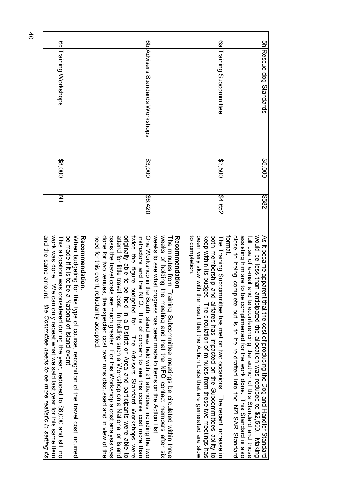| work same item like our predict what what we said last year to this same item<br>and the same annount: - the Committee needs to be more realistic in setting its<br>This allocation was considered during the year, reduced to \$6,000 and still no                                                                                                                                                                                                                                                                                                                                                                                                                                                                              | $\leq$  | \$8,000 | 6c Training Workshops        |               |
|----------------------------------------------------------------------------------------------------------------------------------------------------------------------------------------------------------------------------------------------------------------------------------------------------------------------------------------------------------------------------------------------------------------------------------------------------------------------------------------------------------------------------------------------------------------------------------------------------------------------------------------------------------------------------------------------------------------------------------|---------|---------|------------------------------|---------------|
| When budgeting for this type of course, recognition of the travel cost incurred<br>be made if it is to be a National of Island event<br>Recommendation                                                                                                                                                                                                                                                                                                                                                                                                                                                                                                                                                                           |         |         |                              |               |
| done for two ventes, the systems discussed and in the expected contest, the modic or the condition<br>attend for little travel cost. In holding such a Workshop on a National or lisland<br>originally able to<br>basis is the trank of the model of this Morkshop a cost sensive and the trank of the term of the sension of the sensive and the model of $\sim$<br>need for this event<br>twice the figure<br>One Workshop in the South Island was held with 21 attendees including the two<br>instructors and the<br>t, reluctantly accepted<br>be held in a District or Area and participants were able to<br>budgeted for. The Advisers Standard Wokshops were<br>e NFO. It is of concern to see this course cost more than | 0.420   | \$3,000 | Advisers Standards Workshops | $\frac{8}{5}$ |
| weeks of holding<br>weeks to see what<br>Recommendation<br>I he minutes from<br>t progress has been made to items on the Action List.<br>the meeting and that the NFO contact members after six<br>Hraining Subcommittee meetings be circulated within three                                                                                                                                                                                                                                                                                                                                                                                                                                                                     |         |         |                              |               |
| to completion.<br>been very slow with the result that the Action Lists that are generated are slow<br>poth membership and airiares has impacted on the Mubcommittees ability to<br>keep within its pudget. The circulation of minutes trom these two meetings has<br>The Training Subcommittee has met on two occasions. The recent increase                                                                                                                                                                                                                                                                                                                                                                                     | \$4,652 | \$3,500 | <b>Training Subcommittee</b> | 6a            |
| close to being complete hot is to be re-drafted into the NZLSAR Standard<br>assisting him are to be complimented for the work done. This Standard is also<br>full use of e-mail and teleconferencing the author of this Standard and those<br>would be less than anticipated the allocation was reduced to \$2,500. Making<br>As it became apparent that that that the Dog and bog and Handler Standard<br>tormat.                                                                                                                                                                                                                                                                                                               | 2858    | 35,000  | 5h Rescue dog Standards      |               |

40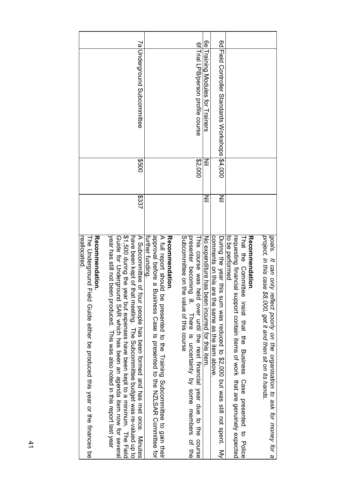| reallocated<br><b>Recorniendation</b><br><b>The Underground</b><br>Field Gride either be produced this year or the finances be                                                                                                                                                                                                                                                                                                                 |              |         |                                              |           |
|------------------------------------------------------------------------------------------------------------------------------------------------------------------------------------------------------------------------------------------------------------------------------------------------------------------------------------------------------------------------------------------------------------------------------------------------|--------------|---------|----------------------------------------------|-----------|
| <b>S4.500 during the</b><br>year has still not b<br>A Subtermediate of four people has been formed and has met only a subset on the subsetimal Minutes<br>have been kept of that meeting. The Subconnittee budget was re-valued up to<br>Guide for Undergr<br>een produced. This was also noted in this report last year<br>rous SAR which has been an agenda item now tor several<br>year but expenses have been kept to a minimum. The Field | 5337         | 009\$   | 7a Underground Subcommittee                  |           |
| approval before a<br>A riul report should be presented to the Hraining Subcommittee to gain their<br>Recommendation<br>further funding.<br>Business Case is presented to the NZLSAR Committee tor                                                                                                                                                                                                                                              |              |         |                                              |           |
| Subcommittee on the value of this course<br>presenter becoming ill. There is uncertainty by some members of the<br>This course was held over until the next financial year due to the<br>course                                                                                                                                                                                                                                                |              | \$2,000 | 6f Trial LPB/person profile course           |           |
| No expenditure has been incurred for this item                                                                                                                                                                                                                                                                                                                                                                                                 | $\subseteqq$ | $\leqq$ | Training Modules tor Training                | <u>ခု</u> |
| comments on this are the same as the rifer appose<br>During the sear this sum seasured to \$2,000 put xass sill not spent:<br>$\leq$                                                                                                                                                                                                                                                                                                           | $\subseteqq$ |         | Field Controller Standards Workshops \$4,000 | 6d        |
| to be performed<br>requesting financial support contain items of work that are genuinely expected<br><b>Jecommendation</b><br>That the Committee insist that the Dusiness<br>Case presented to Police                                                                                                                                                                                                                                          |              |         |                                              |           |
| goals.<br>project, in this case \$8,000, get it and then sit on its hands.<br>It can only reflect poorly on the organisation to ask for money for a                                                                                                                                                                                                                                                                                            |              |         |                                              |           |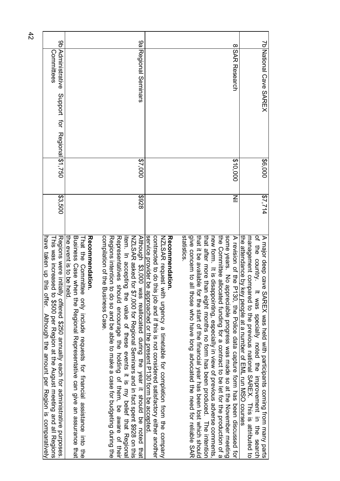| 96                                                                                                                                                                                                                                             |                                                                                                                                                                                                              | 9g                                                                                                                                                                                                                                                                                                                                                                                                                                          |                                                                                                                                                                                                                                                          |                                                                                                                                                                                                                                                                                                                                                                                                                                                                                                                         | $\infty$                                                                    |                                                                                                                                                                                                                                                                                                          |
|------------------------------------------------------------------------------------------------------------------------------------------------------------------------------------------------------------------------------------------------|--------------------------------------------------------------------------------------------------------------------------------------------------------------------------------------------------------------|---------------------------------------------------------------------------------------------------------------------------------------------------------------------------------------------------------------------------------------------------------------------------------------------------------------------------------------------------------------------------------------------------------------------------------------------|----------------------------------------------------------------------------------------------------------------------------------------------------------------------------------------------------------------------------------------------------------|-------------------------------------------------------------------------------------------------------------------------------------------------------------------------------------------------------------------------------------------------------------------------------------------------------------------------------------------------------------------------------------------------------------------------------------------------------------------------------------------------------------------------|-----------------------------------------------------------------------------|----------------------------------------------------------------------------------------------------------------------------------------------------------------------------------------------------------------------------------------------------------------------------------------------------------|
| Administrative<br>Committees                                                                                                                                                                                                                   |                                                                                                                                                                                                              | Regional Seminars                                                                                                                                                                                                                                                                                                                                                                                                                           |                                                                                                                                                                                                                                                          |                                                                                                                                                                                                                                                                                                                                                                                                                                                                                                                         | <b>ISAR Research</b>                                                        | <b>Zb National Cave SAREX</b>                                                                                                                                                                                                                                                                            |
| Support for Regional \$1,750                                                                                                                                                                                                                   |                                                                                                                                                                                                              |                                                                                                                                                                                                                                                                                                                                                                                                                                             |                                                                                                                                                                                                                                                          |                                                                                                                                                                                                                                                                                                                                                                                                                                                                                                                         |                                                                             |                                                                                                                                                                                                                                                                                                          |
|                                                                                                                                                                                                                                                |                                                                                                                                                                                                              | 27,000                                                                                                                                                                                                                                                                                                                                                                                                                                      |                                                                                                                                                                                                                                                          |                                                                                                                                                                                                                                                                                                                                                                                                                                                                                                                         | \$10,000                                                                    | \$6,000                                                                                                                                                                                                                                                                                                  |
| \$3,500                                                                                                                                                                                                                                        |                                                                                                                                                                                                              | 826\$                                                                                                                                                                                                                                                                                                                                                                                                                                       |                                                                                                                                                                                                                                                          |                                                                                                                                                                                                                                                                                                                                                                                                                                                                                                                         | $\leq$                                                                      | \$7,714                                                                                                                                                                                                                                                                                                  |
| Regions were initially offered \$250 annually each for administrative purposes<br>have taken up this offer.<br>This was increased to \$500 per Region at the August meeting and all Regions<br>Although the amount per Region is comparatively | the event is to be held.<br>Business Case when the Regional Representative can give an assurance that<br><b>Reconnerdation</b><br>That the Committee only include requests for financial assistance into the | compliation of the Basiness Case<br>Although \$3,000 was reallocated during the year it should be noted that<br>NZLSAR asked for \$7,000 for Regional Seminars and in fact spent \$928 on this<br>Regions intention to do so and be able to make a case for budgeting during the<br>Representatives should encourage the holding of them, be aware of their<br>item. In accepting<br>the value of these events it is my belief that Regiona | service provider be approached or the present D130 form be accepted<br>contracted to do this job and if this is not considered satistactory either another<br>NZNLSAR request with urgency a timetable for completion from the company<br>Recommendation | give concern to all<br>statistics<br>some years. No appreciable progress was made so at the November meeting<br>the Committee allocated funding for a contract to be let for the production of a<br>that it be available<br>that after more than eight months no form has been produced. I The intertion<br>new form. It is disappointing, especially in view of previous adverse comments<br>for the start of the financial year has been lost which should<br>those who have long advocated the need for reliable SAR | A revision of the P130, the Police data capture form has been discussed for | of the country.<br>the attendance by I<br>A major deep cave SAREX was held with participants coming from many parts<br>management connect of the previous national SAREX. This is attripried to<br>key people at a number of EML run NSO corrses<br>It was specially noted the improvement in the search |

42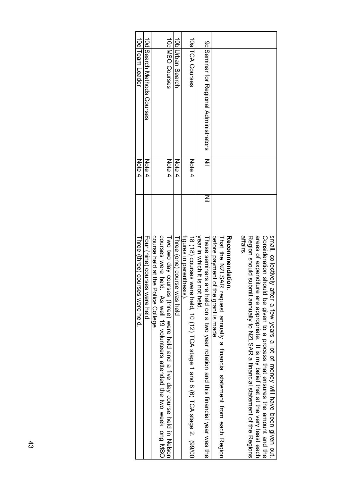| Three (three) courses were held.                                                                                                                                                                                                                                                                                                                     | Note 4 |                                                    | 10elTeam Leader                   |  |
|------------------------------------------------------------------------------------------------------------------------------------------------------------------------------------------------------------------------------------------------------------------------------------------------------------------------------------------------------|--------|----------------------------------------------------|-----------------------------------|--|
| Four (nine) courses were held                                                                                                                                                                                                                                                                                                                        | Note 4 |                                                    | <b>IODISearch Methods Courses</b> |  |
| COURS Sere a play of the artendary affended the artended week Tong MSOO<br>course held at the<br>Police College.                                                                                                                                                                                                                                     |        |                                                    |                                   |  |
| Two two day courses (three) were held and a five day course held in Nelson                                                                                                                                                                                                                                                                           | Note 4 |                                                    | 10c MSO Courses                   |  |
| Three (one) course was held                                                                                                                                                                                                                                                                                                                          | Note 4 |                                                    | 10b Urban Search                  |  |
| figures in parenthesis).                                                                                                                                                                                                                                                                                                                             |        |                                                    |                                   |  |
| 18 (18) courses were held, 10 (12) TCA stage 1 and 8 (6) TCA stage 2. (99/00                                                                                                                                                                                                                                                                         | Note 4 |                                                    | 10alTCA Courses                   |  |
| year in which it is<br>not held.                                                                                                                                                                                                                                                                                                                     |        |                                                    |                                   |  |
| $\leqq$<br>These seminars are held on a two year rotation and this financial year was the                                                                                                                                                                                                                                                            |        | 9c Seminar for Regional Administrators<br>$\equiv$ |                                   |  |
| before payment of the grant is made.                                                                                                                                                                                                                                                                                                                 |        |                                                    |                                   |  |
| That the NZLSAR reach from each prement from each Region                                                                                                                                                                                                                                                                                             |        |                                                    |                                   |  |
| Recommendation                                                                                                                                                                                                                                                                                                                                       |        |                                                    |                                   |  |
| strairs<br>small, collectively<br>areas of expenditure are appropriate. It is my belief that at the very least each<br>Region should submit annually to NZLSAR a financial statement of the Regions<br>Consideration should be given to a process that ensures the animous doubled the<br>after a few years a lot of money will have been given out. |        |                                                    |                                   |  |